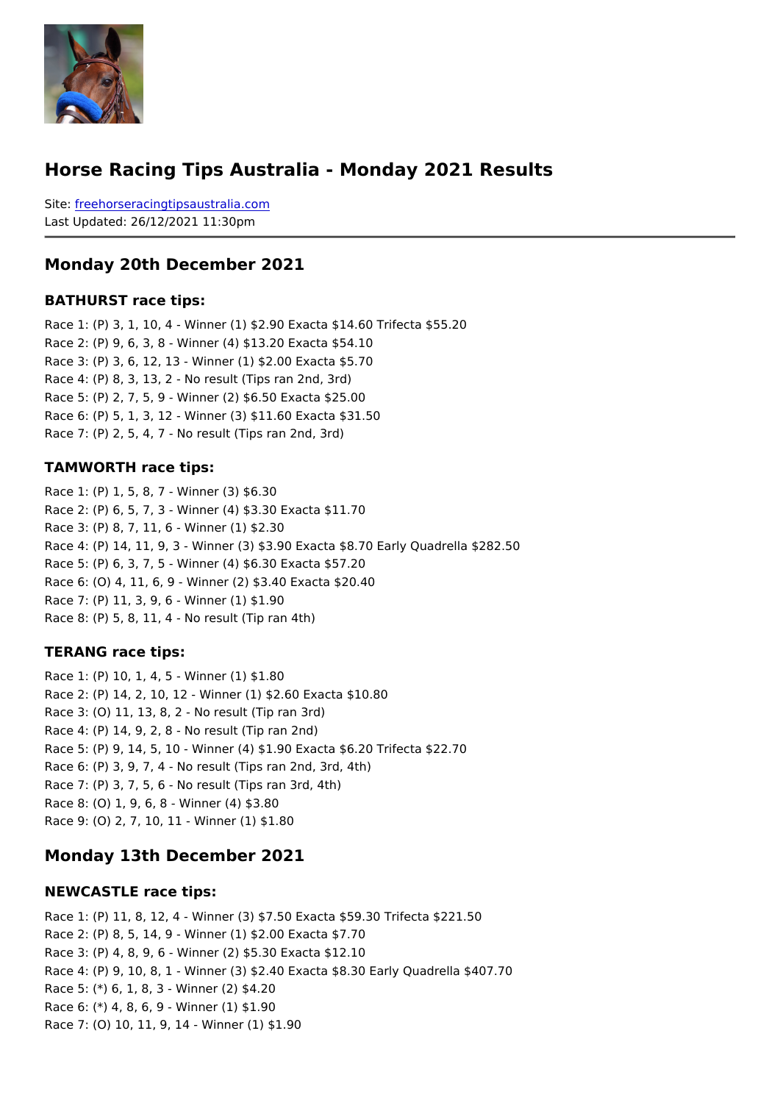#### Horse Racing Tips Australia - Monday 2021 Results

Sitefreehorseracingtipsaustralia.com Last Updated: 26/12/2021 11:30pm

#### Monday 20th December 2021

#### BATHURST race tips:

Race 1: (P) 3, 1, 10, 4 - Winner (1) \$2.90 Exacta \$14.60 Trifecta \$55.20 Race 2: (P) 9, 6, 3, 8 - Winner (4) \$13.20 Exacta \$54.10 Race 3: (P) 3, 6, 12, 13 - Winner (1) \$2.00 Exacta \$5.70 Race 4: (P) 8, 3, 13, 2 - No result (Tips ran 2nd, 3rd) Race 5: (P) 2, 7, 5, 9 - Winner (2) \$6.50 Exacta \$25.00 Race 6: (P) 5, 1, 3, 12 - Winner (3) \$11.60 Exacta \$31.50 Race 7: (P) 2, 5, 4, 7 - No result (Tips ran 2nd, 3rd)

#### TAMWORTH race tips:

Race 1: (P) 1, 5, 8, 7 - Winner (3) \$6.30 Race 2: (P) 6, 5, 7, 3 - Winner (4) \$3.30 Exacta \$11.70 Race 3: (P) 8, 7, 11, 6 - Winner (1) \$2.30 Race 4: (P) 14, 11, 9, 3 - Winner (3) \$3.90 Exacta \$8.70 Early Quadrella \$282.50 Race 5: (P) 6, 3, 7, 5 - Winner (4) \$6.30 Exacta \$57.20 Race 6: (O) 4, 11, 6, 9 - Winner (2) \$3.40 Exacta \$20.40 Race 7: (P) 11, 3, 9, 6 - Winner (1) \$1.90 Race 8: (P) 5, 8, 11, 4 - No result (Tip ran 4th)

#### TERANG race tips:

Race 1: (P) 10, 1, 4, 5 - Winner (1) \$1.80 Race 2: (P) 14, 2, 10, 12 - Winner (1) \$2.60 Exacta \$10.80 Race 3: (O) 11, 13, 8, 2 - No result (Tip ran 3rd) Race 4: (P) 14, 9, 2, 8 - No result (Tip ran 2nd) Race 5: (P) 9, 14, 5, 10 - Winner (4) \$1.90 Exacta \$6.20 Trifecta \$22.70 Race 6: (P) 3, 9, 7, 4 - No result (Tips ran 2nd, 3rd, 4th) Race 7: (P) 3, 7, 5, 6 - No result (Tips ran 3rd, 4th) Race 8: (O) 1, 9, 6, 8 - Winner (4) \$3.80 Race 9: (O) 2, 7, 10, 11 - Winner (1) \$1.80

#### Monday 13th December 2021

#### NEWCASTLE race tips:

Race 1: (P) 11, 8, 12, 4 - Winner (3) \$7.50 Exacta \$59.30 Trifecta \$221.50 Race 2: (P) 8, 5, 14, 9 - Winner (1) \$2.00 Exacta \$7.70 Race 3: (P) 4, 8, 9, 6 - Winner (2) \$5.30 Exacta \$12.10 Race 4: (P) 9, 10, 8, 1 - Winner (3) \$2.40 Exacta \$8.30 Early Quadrella \$407.70 Race 5: (\*) 6, 1, 8, 3 - Winner (2) \$4.20 Race 6: (\*) 4, 8, 6, 9 - Winner (1) \$1.90 Race 7: (O) 10, 11, 9, 14 - Winner (1) \$1.90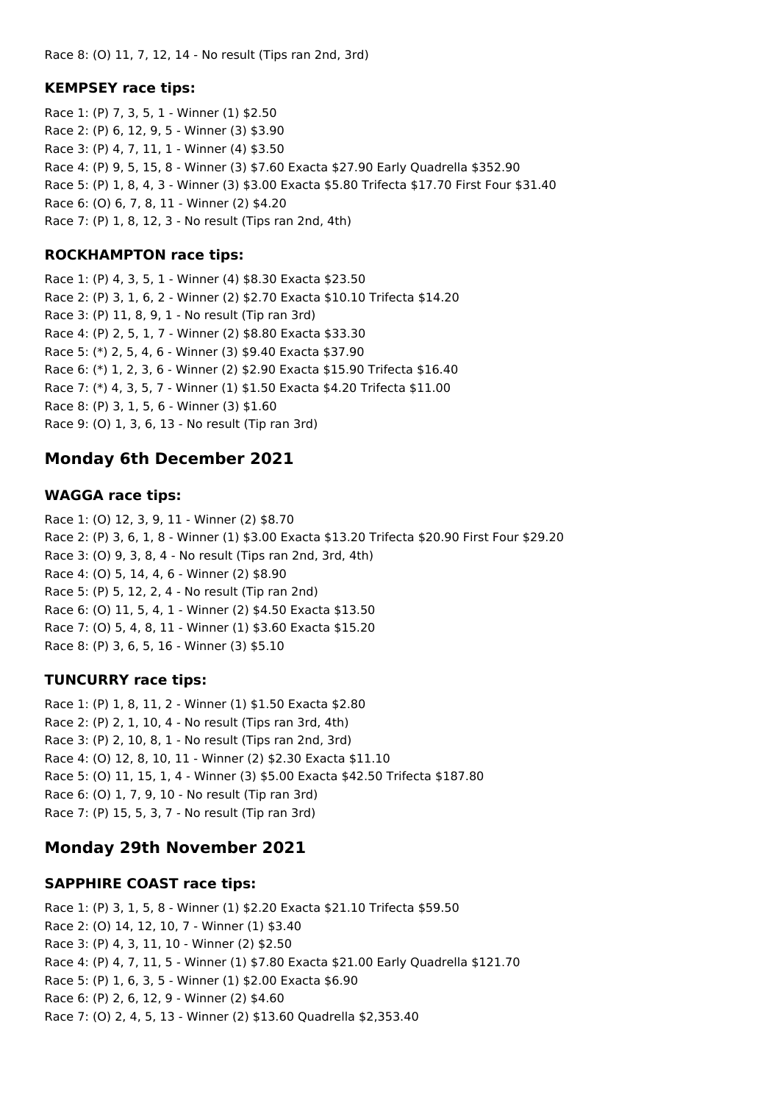Race 8: (O) 11, 7, 12, 14 - No result (Tips ran 2nd, 3rd)

#### **KEMPSEY race tips:**

Race 1: (P) 7, 3, 5, 1 - Winner (1) \$2.50 Race 2: (P) 6, 12, 9, 5 - Winner (3) \$3.90 Race 3: (P) 4, 7, 11, 1 - Winner (4) \$3.50 Race 4: (P) 9, 5, 15, 8 - Winner (3) \$7.60 Exacta \$27.90 Early Quadrella \$352.90 Race 5: (P) 1, 8, 4, 3 - Winner (3) \$3.00 Exacta \$5.80 Trifecta \$17.70 First Four \$31.40 Race 6: (O) 6, 7, 8, 11 - Winner (2) \$4.20 Race 7: (P) 1, 8, 12, 3 - No result (Tips ran 2nd, 4th)

#### **ROCKHAMPTON race tips:**

Race 1: (P) 4, 3, 5, 1 - Winner (4) \$8.30 Exacta \$23.50 Race 2: (P) 3, 1, 6, 2 - Winner (2) \$2.70 Exacta \$10.10 Trifecta \$14.20 Race 3: (P) 11, 8, 9, 1 - No result (Tip ran 3rd) Race 4: (P) 2, 5, 1, 7 - Winner (2) \$8.80 Exacta \$33.30 Race 5: (\*) 2, 5, 4, 6 - Winner (3) \$9.40 Exacta \$37.90 Race 6: (\*) 1, 2, 3, 6 - Winner (2) \$2.90 Exacta \$15.90 Trifecta \$16.40 Race 7: (\*) 4, 3, 5, 7 - Winner (1) \$1.50 Exacta \$4.20 Trifecta \$11.00 Race 8: (P) 3, 1, 5, 6 - Winner (3) \$1.60 Race 9: (O) 1, 3, 6, 13 - No result (Tip ran 3rd)

## **Monday 6th December 2021**

### **WAGGA race tips:**

Race 1: (O) 12, 3, 9, 11 - Winner (2) \$8.70 Race 2: (P) 3, 6, 1, 8 - Winner (1) \$3.00 Exacta \$13.20 Trifecta \$20.90 First Four \$29.20 Race 3: (O) 9, 3, 8, 4 - No result (Tips ran 2nd, 3rd, 4th) Race 4: (O) 5, 14, 4, 6 - Winner (2) \$8.90 Race 5: (P) 5, 12, 2, 4 - No result (Tip ran 2nd) Race 6: (O) 11, 5, 4, 1 - Winner (2) \$4.50 Exacta \$13.50 Race 7: (O) 5, 4, 8, 11 - Winner (1) \$3.60 Exacta \$15.20 Race 8: (P) 3, 6, 5, 16 - Winner (3) \$5.10

### **TUNCURRY race tips:**

Race 1: (P) 1, 8, 11, 2 - Winner (1) \$1.50 Exacta \$2.80 Race 2: (P) 2, 1, 10, 4 - No result (Tips ran 3rd, 4th) Race 3: (P) 2, 10, 8, 1 - No result (Tips ran 2nd, 3rd) Race 4: (O) 12, 8, 10, 11 - Winner (2) \$2.30 Exacta \$11.10 Race 5: (O) 11, 15, 1, 4 - Winner (3) \$5.00 Exacta \$42.50 Trifecta \$187.80 Race 6: (O) 1, 7, 9, 10 - No result (Tip ran 3rd) Race 7: (P) 15, 5, 3, 7 - No result (Tip ran 3rd)

## **Monday 29th November 2021**

#### **SAPPHIRE COAST race tips:**

Race 1: (P) 3, 1, 5, 8 - Winner (1) \$2.20 Exacta \$21.10 Trifecta \$59.50 Race 2: (O) 14, 12, 10, 7 - Winner (1) \$3.40 Race 3: (P) 4, 3, 11, 10 - Winner (2) \$2.50 Race 4: (P) 4, 7, 11, 5 - Winner (1) \$7.80 Exacta \$21.00 Early Quadrella \$121.70 Race 5: (P) 1, 6, 3, 5 - Winner (1) \$2.00 Exacta \$6.90 Race 6: (P) 2, 6, 12, 9 - Winner (2) \$4.60 Race 7: (O) 2, 4, 5, 13 - Winner (2) \$13.60 Quadrella \$2,353.40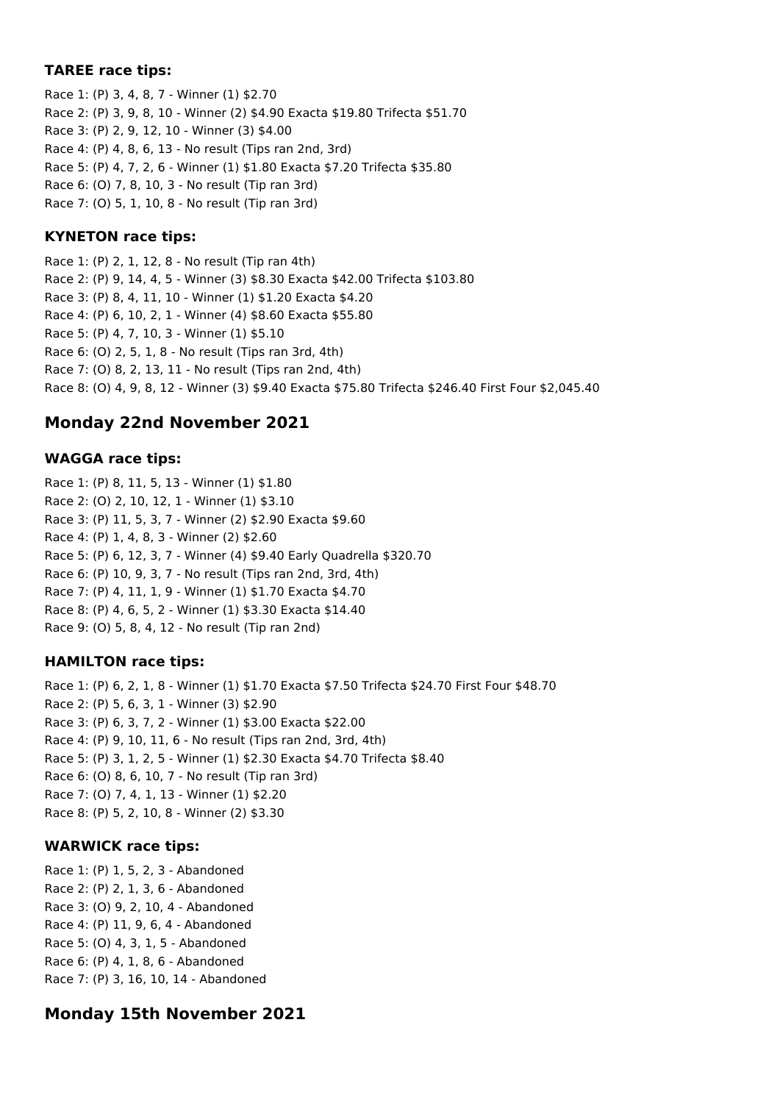### **TAREE race tips:**

Race 1: (P) 3, 4, 8, 7 - Winner (1) \$2.70 Race 2: (P) 3, 9, 8, 10 - Winner (2) \$4.90 Exacta \$19.80 Trifecta \$51.70 Race 3: (P) 2, 9, 12, 10 - Winner (3) \$4.00 Race 4: (P) 4, 8, 6, 13 - No result (Tips ran 2nd, 3rd) Race 5: (P) 4, 7, 2, 6 - Winner (1) \$1.80 Exacta \$7.20 Trifecta \$35.80 Race 6: (O) 7, 8, 10, 3 - No result (Tip ran 3rd) Race 7: (O) 5, 1, 10, 8 - No result (Tip ran 3rd)

## **KYNETON race tips:**

Race 1: (P) 2, 1, 12, 8 - No result (Tip ran 4th) Race 2: (P) 9, 14, 4, 5 - Winner (3) \$8.30 Exacta \$42.00 Trifecta \$103.80 Race 3: (P) 8, 4, 11, 10 - Winner (1) \$1.20 Exacta \$4.20 Race 4: (P) 6, 10, 2, 1 - Winner (4) \$8.60 Exacta \$55.80 Race 5: (P) 4, 7, 10, 3 - Winner (1) \$5.10 Race 6: (O) 2, 5, 1, 8 - No result (Tips ran 3rd, 4th) Race 7: (O) 8, 2, 13, 11 - No result (Tips ran 2nd, 4th) Race 8: (O) 4, 9, 8, 12 - Winner (3) \$9.40 Exacta \$75.80 Trifecta \$246.40 First Four \$2,045.40

# **Monday 22nd November 2021**

## **WAGGA race tips:**

Race 1: (P) 8, 11, 5, 13 - Winner (1) \$1.80 Race 2: (O) 2, 10, 12, 1 - Winner (1) \$3.10 Race 3: (P) 11, 5, 3, 7 - Winner (2) \$2.90 Exacta \$9.60 Race 4: (P) 1, 4, 8, 3 - Winner (2) \$2.60 Race 5: (P) 6, 12, 3, 7 - Winner (4) \$9.40 Early Quadrella \$320.70 Race 6: (P) 10, 9, 3, 7 - No result (Tips ran 2nd, 3rd, 4th) Race 7: (P) 4, 11, 1, 9 - Winner (1) \$1.70 Exacta \$4.70 Race 8: (P) 4, 6, 5, 2 - Winner (1) \$3.30 Exacta \$14.40 Race 9: (O) 5, 8, 4, 12 - No result (Tip ran 2nd)

## **HAMILTON race tips:**

Race 1: (P) 6, 2, 1, 8 - Winner (1) \$1.70 Exacta \$7.50 Trifecta \$24.70 First Four \$48.70 Race 2: (P) 5, 6, 3, 1 - Winner (3) \$2.90 Race 3: (P) 6, 3, 7, 2 - Winner (1) \$3.00 Exacta \$22.00 Race 4: (P) 9, 10, 11, 6 - No result (Tips ran 2nd, 3rd, 4th) Race 5: (P) 3, 1, 2, 5 - Winner (1) \$2.30 Exacta \$4.70 Trifecta \$8.40 Race 6: (O) 8, 6, 10, 7 - No result (Tip ran 3rd) Race 7: (O) 7, 4, 1, 13 - Winner (1) \$2.20 Race 8: (P) 5, 2, 10, 8 - Winner (2) \$3.30

### **WARWICK race tips:**

Race 1: (P) 1, 5, 2, 3 - Abandoned Race 2: (P) 2, 1, 3, 6 - Abandoned Race 3: (O) 9, 2, 10, 4 - Abandoned Race 4: (P) 11, 9, 6, 4 - Abandoned Race 5: (O) 4, 3, 1, 5 - Abandoned Race 6: (P) 4, 1, 8, 6 - Abandoned Race 7: (P) 3, 16, 10, 14 - Abandoned

# **Monday 15th November 2021**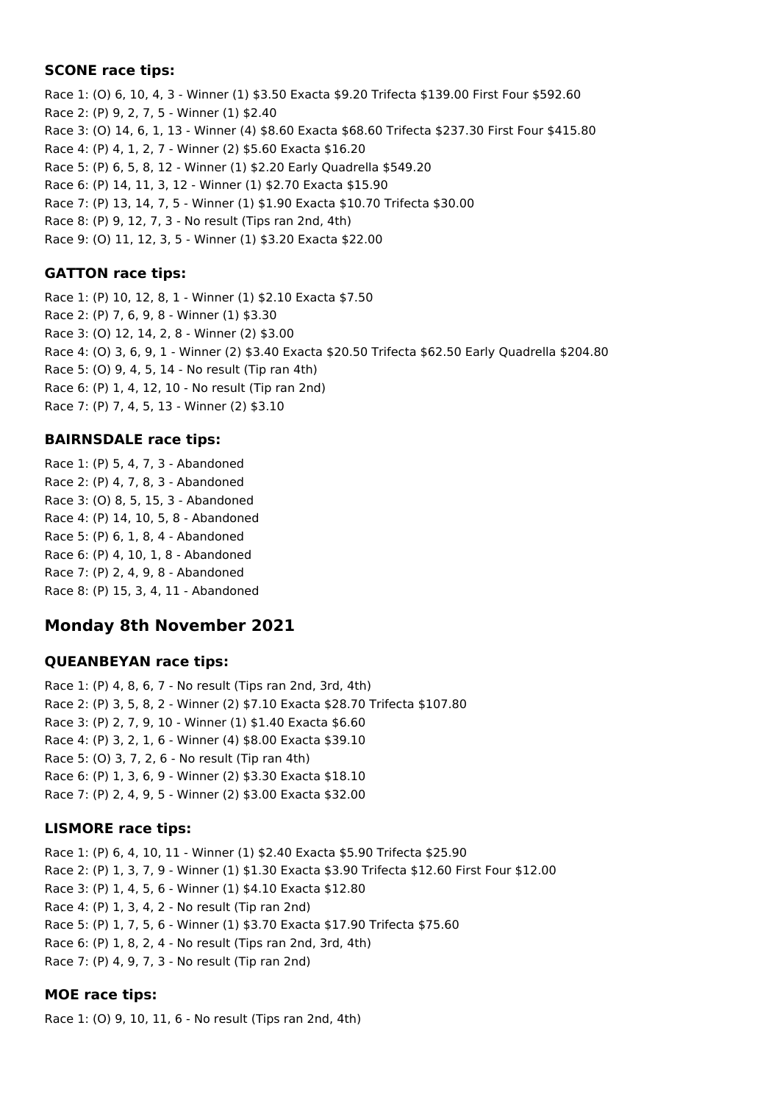### **SCONE race tips:**

Race 1: (O) 6, 10, 4, 3 - Winner (1) \$3.50 Exacta \$9.20 Trifecta \$139.00 First Four \$592.60 Race 2: (P) 9, 2, 7, 5 - Winner (1) \$2.40 Race 3: (O) 14, 6, 1, 13 - Winner (4) \$8.60 Exacta \$68.60 Trifecta \$237.30 First Four \$415.80 Race 4: (P) 4, 1, 2, 7 - Winner (2) \$5.60 Exacta \$16.20 Race 5: (P) 6, 5, 8, 12 - Winner (1) \$2.20 Early Quadrella \$549.20 Race 6: (P) 14, 11, 3, 12 - Winner (1) \$2.70 Exacta \$15.90 Race 7: (P) 13, 14, 7, 5 - Winner (1) \$1.90 Exacta \$10.70 Trifecta \$30.00 Race 8: (P) 9, 12, 7, 3 - No result (Tips ran 2nd, 4th) Race 9: (O) 11, 12, 3, 5 - Winner (1) \$3.20 Exacta \$22.00

## **GATTON race tips:**

Race 1: (P) 10, 12, 8, 1 - Winner (1) \$2.10 Exacta \$7.50 Race 2: (P) 7, 6, 9, 8 - Winner (1) \$3.30 Race 3: (O) 12, 14, 2, 8 - Winner (2) \$3.00 Race 4: (O) 3, 6, 9, 1 - Winner (2) \$3.40 Exacta \$20.50 Trifecta \$62.50 Early Quadrella \$204.80 Race 5: (O) 9, 4, 5, 14 - No result (Tip ran 4th) Race 6: (P) 1, 4, 12, 10 - No result (Tip ran 2nd) Race 7: (P) 7, 4, 5, 13 - Winner (2) \$3.10

## **BAIRNSDALE race tips:**

Race 1: (P) 5, 4, 7, 3 - Abandoned Race 2: (P) 4, 7, 8, 3 - Abandoned Race 3: (O) 8, 5, 15, 3 - Abandoned Race 4: (P) 14, 10, 5, 8 - Abandoned Race 5: (P) 6, 1, 8, 4 - Abandoned Race 6: (P) 4, 10, 1, 8 - Abandoned Race 7: (P) 2, 4, 9, 8 - Abandoned Race 8: (P) 15, 3, 4, 11 - Abandoned

# **Monday 8th November 2021**

### **QUEANBEYAN race tips:**

Race 1: (P) 4, 8, 6, 7 - No result (Tips ran 2nd, 3rd, 4th) Race 2: (P) 3, 5, 8, 2 - Winner (2) \$7.10 Exacta \$28.70 Trifecta \$107.80 Race 3: (P) 2, 7, 9, 10 - Winner (1) \$1.40 Exacta \$6.60 Race 4: (P) 3, 2, 1, 6 - Winner (4) \$8.00 Exacta \$39.10 Race 5: (O) 3, 7, 2, 6 - No result (Tip ran 4th) Race 6: (P) 1, 3, 6, 9 - Winner (2) \$3.30 Exacta \$18.10 Race 7: (P) 2, 4, 9, 5 - Winner (2) \$3.00 Exacta \$32.00

## **LISMORE race tips:**

Race 1: (P) 6, 4, 10, 11 - Winner (1) \$2.40 Exacta \$5.90 Trifecta \$25.90 Race 2: (P) 1, 3, 7, 9 - Winner (1) \$1.30 Exacta \$3.90 Trifecta \$12.60 First Four \$12.00 Race 3: (P) 1, 4, 5, 6 - Winner (1) \$4.10 Exacta \$12.80 Race 4: (P) 1, 3, 4, 2 - No result (Tip ran 2nd) Race 5: (P) 1, 7, 5, 6 - Winner (1) \$3.70 Exacta \$17.90 Trifecta \$75.60 Race 6: (P) 1, 8, 2, 4 - No result (Tips ran 2nd, 3rd, 4th) Race 7: (P) 4, 9, 7, 3 - No result (Tip ran 2nd)

### **MOE race tips:**

Race 1: (O) 9, 10, 11, 6 - No result (Tips ran 2nd, 4th)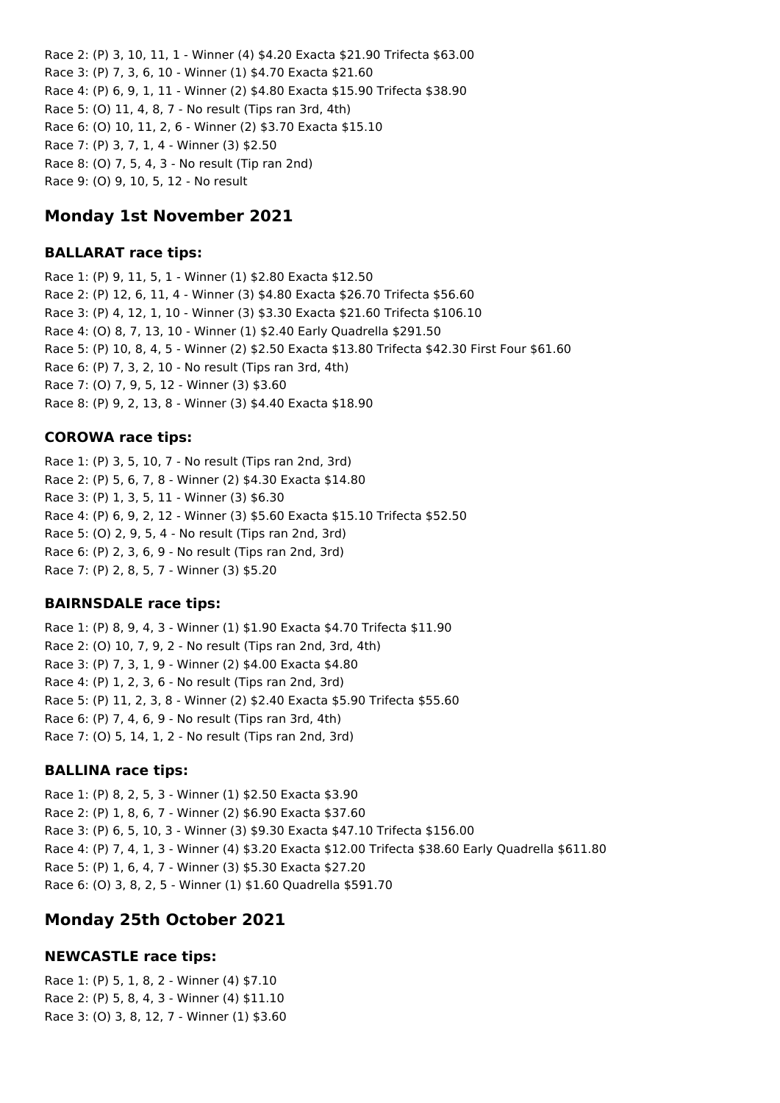Race 2: (P) 3, 10, 11, 1 - Winner (4) \$4.20 Exacta \$21.90 Trifecta \$63.00 Race 3: (P) 7, 3, 6, 10 - Winner (1) \$4.70 Exacta \$21.60 Race 4: (P) 6, 9, 1, 11 - Winner (2) \$4.80 Exacta \$15.90 Trifecta \$38.90 Race 5: (O) 11, 4, 8, 7 - No result (Tips ran 3rd, 4th) Race 6: (O) 10, 11, 2, 6 - Winner (2) \$3.70 Exacta \$15.10 Race 7: (P) 3, 7, 1, 4 - Winner (3) \$2.50 Race 8: (O) 7, 5, 4, 3 - No result (Tip ran 2nd) Race 9: (O) 9, 10, 5, 12 - No result

## **Monday 1st November 2021**

### **BALLARAT race tips:**

Race 1: (P) 9, 11, 5, 1 - Winner (1) \$2.80 Exacta \$12.50 Race 2: (P) 12, 6, 11, 4 - Winner (3) \$4.80 Exacta \$26.70 Trifecta \$56.60 Race 3: (P) 4, 12, 1, 10 - Winner (3) \$3.30 Exacta \$21.60 Trifecta \$106.10 Race 4: (O) 8, 7, 13, 10 - Winner (1) \$2.40 Early Quadrella \$291.50 Race 5: (P) 10, 8, 4, 5 - Winner (2) \$2.50 Exacta \$13.80 Trifecta \$42.30 First Four \$61.60 Race 6: (P) 7, 3, 2, 10 - No result (Tips ran 3rd, 4th) Race 7: (O) 7, 9, 5, 12 - Winner (3) \$3.60 Race 8: (P) 9, 2, 13, 8 - Winner (3) \$4.40 Exacta \$18.90

### **COROWA race tips:**

Race 1: (P) 3, 5, 10, 7 - No result (Tips ran 2nd, 3rd) Race 2: (P) 5, 6, 7, 8 - Winner (2) \$4.30 Exacta \$14.80 Race 3: (P) 1, 3, 5, 11 - Winner (3) \$6.30 Race 4: (P) 6, 9, 2, 12 - Winner (3) \$5.60 Exacta \$15.10 Trifecta \$52.50 Race 5: (O) 2, 9, 5, 4 - No result (Tips ran 2nd, 3rd) Race 6: (P) 2, 3, 6, 9 - No result (Tips ran 2nd, 3rd) Race 7: (P) 2, 8, 5, 7 - Winner (3) \$5.20

### **BAIRNSDALE race tips:**

Race 1: (P) 8, 9, 4, 3 - Winner (1) \$1.90 Exacta \$4.70 Trifecta \$11.90 Race 2: (O) 10, 7, 9, 2 - No result (Tips ran 2nd, 3rd, 4th) Race 3: (P) 7, 3, 1, 9 - Winner (2) \$4.00 Exacta \$4.80 Race 4: (P) 1, 2, 3, 6 - No result (Tips ran 2nd, 3rd) Race 5: (P) 11, 2, 3, 8 - Winner (2) \$2.40 Exacta \$5.90 Trifecta \$55.60 Race 6: (P) 7, 4, 6, 9 - No result (Tips ran 3rd, 4th) Race 7: (O) 5, 14, 1, 2 - No result (Tips ran 2nd, 3rd)

#### **BALLINA race tips:**

Race 1: (P) 8, 2, 5, 3 - Winner (1) \$2.50 Exacta \$3.90 Race 2: (P) 1, 8, 6, 7 - Winner (2) \$6.90 Exacta \$37.60 Race 3: (P) 6, 5, 10, 3 - Winner (3) \$9.30 Exacta \$47.10 Trifecta \$156.00 Race 4: (P) 7, 4, 1, 3 - Winner (4) \$3.20 Exacta \$12.00 Trifecta \$38.60 Early Quadrella \$611.80 Race 5: (P) 1, 6, 4, 7 - Winner (3) \$5.30 Exacta \$27.20 Race 6: (O) 3, 8, 2, 5 - Winner (1) \$1.60 Quadrella \$591.70

## **Monday 25th October 2021**

### **NEWCASTLE race tips:**

Race 1: (P) 5, 1, 8, 2 - Winner (4) \$7.10 Race 2: (P) 5, 8, 4, 3 - Winner (4) \$11.10 Race 3: (O) 3, 8, 12, 7 - Winner (1) \$3.60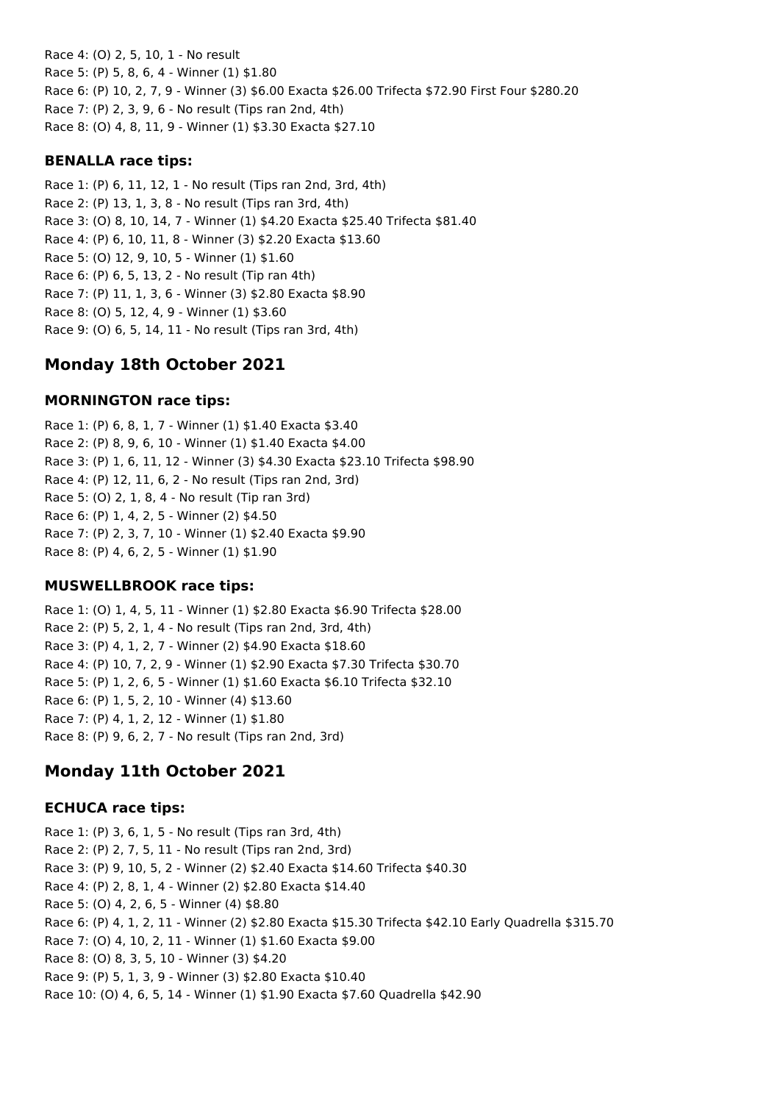Race 4: (O) 2, 5, 10, 1 - No result Race 5: (P) 5, 8, 6, 4 - Winner (1) \$1.80 Race 6: (P) 10, 2, 7, 9 - Winner (3) \$6.00 Exacta \$26.00 Trifecta \$72.90 First Four \$280.20 Race 7: (P) 2, 3, 9, 6 - No result (Tips ran 2nd, 4th) Race 8: (O) 4, 8, 11, 9 - Winner (1) \$3.30 Exacta \$27.10

### **BENALLA race tips:**

Race 1: (P) 6, 11, 12, 1 - No result (Tips ran 2nd, 3rd, 4th) Race 2: (P) 13, 1, 3, 8 - No result (Tips ran 3rd, 4th) Race 3: (O) 8, 10, 14, 7 - Winner (1) \$4.20 Exacta \$25.40 Trifecta \$81.40 Race 4: (P) 6, 10, 11, 8 - Winner (3) \$2.20 Exacta \$13.60 Race 5: (O) 12, 9, 10, 5 - Winner (1) \$1.60 Race 6: (P) 6, 5, 13, 2 - No result (Tip ran 4th) Race 7: (P) 11, 1, 3, 6 - Winner (3) \$2.80 Exacta \$8.90 Race 8: (O) 5, 12, 4, 9 - Winner (1) \$3.60 Race 9: (O) 6, 5, 14, 11 - No result (Tips ran 3rd, 4th)

# **Monday 18th October 2021**

### **MORNINGTON race tips:**

Race 1: (P) 6, 8, 1, 7 - Winner (1) \$1.40 Exacta \$3.40 Race 2: (P) 8, 9, 6, 10 - Winner (1) \$1.40 Exacta \$4.00 Race 3: (P) 1, 6, 11, 12 - Winner (3) \$4.30 Exacta \$23.10 Trifecta \$98.90 Race 4: (P) 12, 11, 6, 2 - No result (Tips ran 2nd, 3rd) Race 5: (O) 2, 1, 8, 4 - No result (Tip ran 3rd) Race 6: (P) 1, 4, 2, 5 - Winner (2) \$4.50 Race 7: (P) 2, 3, 7, 10 - Winner (1) \$2.40 Exacta \$9.90 Race 8: (P) 4, 6, 2, 5 - Winner (1) \$1.90

### **MUSWELLBROOK race tips:**

Race 1: (O) 1, 4, 5, 11 - Winner (1) \$2.80 Exacta \$6.90 Trifecta \$28.00 Race 2: (P) 5, 2, 1, 4 - No result (Tips ran 2nd, 3rd, 4th) Race 3: (P) 4, 1, 2, 7 - Winner (2) \$4.90 Exacta \$18.60 Race 4: (P) 10, 7, 2, 9 - Winner (1) \$2.90 Exacta \$7.30 Trifecta \$30.70 Race 5: (P) 1, 2, 6, 5 - Winner (1) \$1.60 Exacta \$6.10 Trifecta \$32.10 Race 6: (P) 1, 5, 2, 10 - Winner (4) \$13.60 Race 7: (P) 4, 1, 2, 12 - Winner (1) \$1.80 Race 8: (P) 9, 6, 2, 7 - No result (Tips ran 2nd, 3rd)

# **Monday 11th October 2021**

#### **ECHUCA race tips:**

Race 1: (P) 3, 6, 1, 5 - No result (Tips ran 3rd, 4th) Race 2: (P) 2, 7, 5, 11 - No result (Tips ran 2nd, 3rd) Race 3: (P) 9, 10, 5, 2 - Winner (2) \$2.40 Exacta \$14.60 Trifecta \$40.30 Race 4: (P) 2, 8, 1, 4 - Winner (2) \$2.80 Exacta \$14.40 Race 5: (O) 4, 2, 6, 5 - Winner (4) \$8.80 Race 6: (P) 4, 1, 2, 11 - Winner (2) \$2.80 Exacta \$15.30 Trifecta \$42.10 Early Quadrella \$315.70 Race 7: (O) 4, 10, 2, 11 - Winner (1) \$1.60 Exacta \$9.00 Race 8: (O) 8, 3, 5, 10 - Winner (3) \$4.20 Race 9: (P) 5, 1, 3, 9 - Winner (3) \$2.80 Exacta \$10.40 Race 10: (O) 4, 6, 5, 14 - Winner (1) \$1.90 Exacta \$7.60 Quadrella \$42.90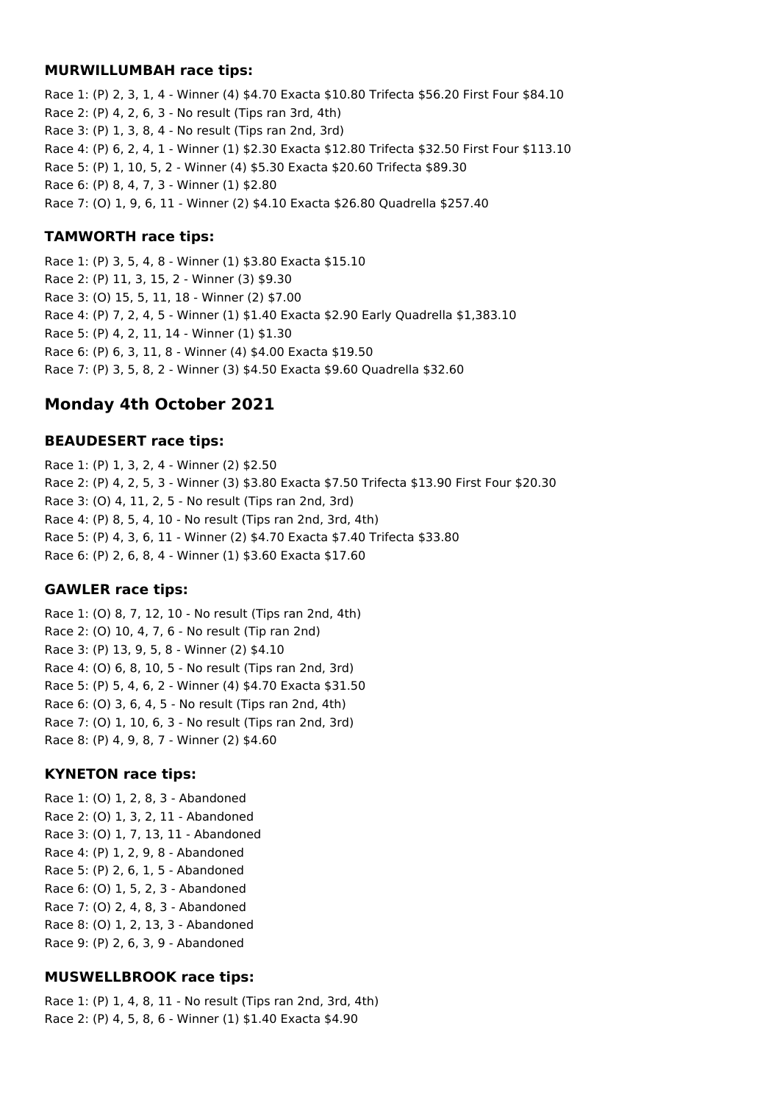#### **MURWILLUMBAH race tips:**

Race 1: (P) 2, 3, 1, 4 - Winner (4) \$4.70 Exacta \$10.80 Trifecta \$56.20 First Four \$84.10 Race 2: (P) 4, 2, 6, 3 - No result (Tips ran 3rd, 4th) Race 3: (P) 1, 3, 8, 4 - No result (Tips ran 2nd, 3rd) Race 4: (P) 6, 2, 4, 1 - Winner (1) \$2.30 Exacta \$12.80 Trifecta \$32.50 First Four \$113.10 Race 5: (P) 1, 10, 5, 2 - Winner (4) \$5.30 Exacta \$20.60 Trifecta \$89.30 Race 6: (P) 8, 4, 7, 3 - Winner (1) \$2.80 Race 7: (O) 1, 9, 6, 11 - Winner (2) \$4.10 Exacta \$26.80 Quadrella \$257.40

### **TAMWORTH race tips:**

Race 1: (P) 3, 5, 4, 8 - Winner (1) \$3.80 Exacta \$15.10 Race 2: (P) 11, 3, 15, 2 - Winner (3) \$9.30 Race 3: (O) 15, 5, 11, 18 - Winner (2) \$7.00 Race 4: (P) 7, 2, 4, 5 - Winner (1) \$1.40 Exacta \$2.90 Early Quadrella \$1,383.10 Race 5: (P) 4, 2, 11, 14 - Winner (1) \$1.30 Race 6: (P) 6, 3, 11, 8 - Winner (4) \$4.00 Exacta \$19.50 Race 7: (P) 3, 5, 8, 2 - Winner (3) \$4.50 Exacta \$9.60 Quadrella \$32.60

# **Monday 4th October 2021**

### **BEAUDESERT race tips:**

Race 1: (P) 1, 3, 2, 4 - Winner (2) \$2.50 Race 2: (P) 4, 2, 5, 3 - Winner (3) \$3.80 Exacta \$7.50 Trifecta \$13.90 First Four \$20.30 Race 3: (O) 4, 11, 2, 5 - No result (Tips ran 2nd, 3rd) Race 4: (P) 8, 5, 4, 10 - No result (Tips ran 2nd, 3rd, 4th) Race 5: (P) 4, 3, 6, 11 - Winner (2) \$4.70 Exacta \$7.40 Trifecta \$33.80 Race 6: (P) 2, 6, 8, 4 - Winner (1) \$3.60 Exacta \$17.60

### **GAWLER race tips:**

Race 1: (O) 8, 7, 12, 10 - No result (Tips ran 2nd, 4th) Race 2: (O) 10, 4, 7, 6 - No result (Tip ran 2nd) Race 3: (P) 13, 9, 5, 8 - Winner (2) \$4.10 Race 4: (O) 6, 8, 10, 5 - No result (Tips ran 2nd, 3rd) Race 5: (P) 5, 4, 6, 2 - Winner (4) \$4.70 Exacta \$31.50 Race 6: (O) 3, 6, 4, 5 - No result (Tips ran 2nd, 4th) Race 7: (O) 1, 10, 6, 3 - No result (Tips ran 2nd, 3rd) Race 8: (P) 4, 9, 8, 7 - Winner (2) \$4.60

### **KYNETON race tips:**

Race 1: (O) 1, 2, 8, 3 - Abandoned Race 2: (O) 1, 3, 2, 11 - Abandoned Race 3: (O) 1, 7, 13, 11 - Abandoned Race 4: (P) 1, 2, 9, 8 - Abandoned Race 5: (P) 2, 6, 1, 5 - Abandoned Race 6: (O) 1, 5, 2, 3 - Abandoned Race 7: (O) 2, 4, 8, 3 - Abandoned Race 8: (O) 1, 2, 13, 3 - Abandoned Race 9: (P) 2, 6, 3, 9 - Abandoned

### **MUSWELLBROOK race tips:**

Race 1: (P) 1, 4, 8, 11 - No result (Tips ran 2nd, 3rd, 4th) Race 2: (P) 4, 5, 8, 6 - Winner (1) \$1.40 Exacta \$4.90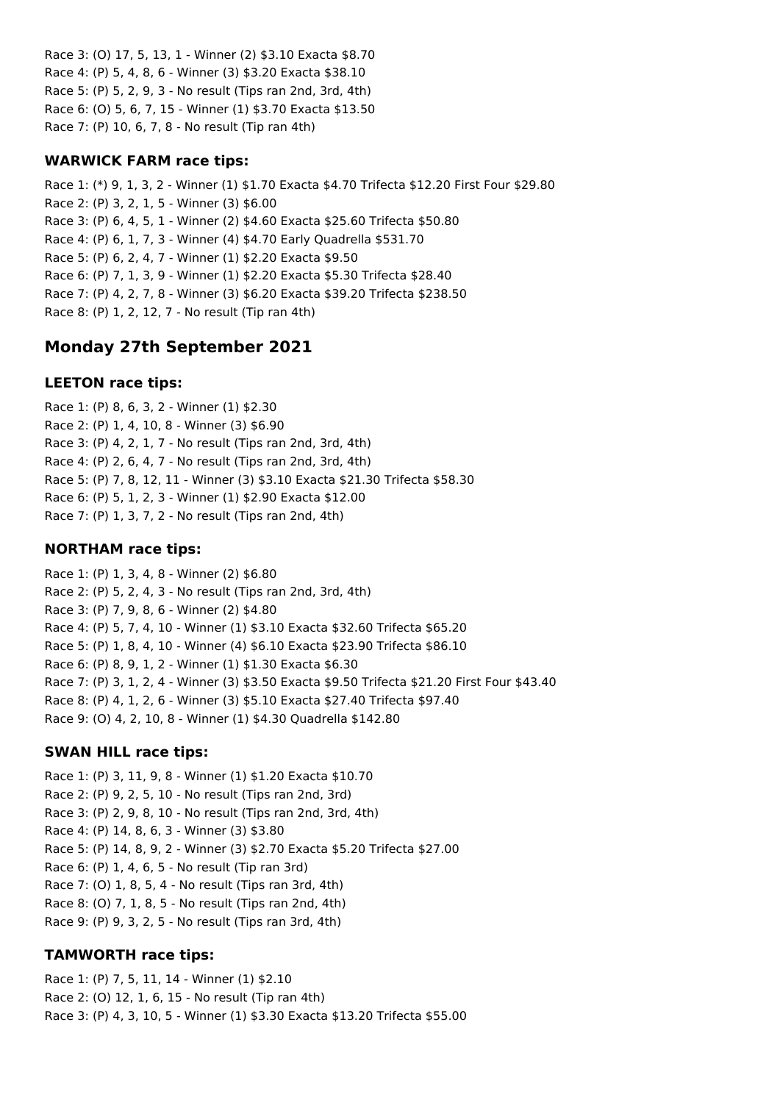Race 3: (O) 17, 5, 13, 1 - Winner (2) \$3.10 Exacta \$8.70 Race 4: (P) 5, 4, 8, 6 - Winner (3) \$3.20 Exacta \$38.10 Race 5: (P) 5, 2, 9, 3 - No result (Tips ran 2nd, 3rd, 4th) Race 6: (O) 5, 6, 7, 15 - Winner (1) \$3.70 Exacta \$13.50 Race 7: (P) 10, 6, 7, 8 - No result (Tip ran 4th)

### **WARWICK FARM race tips:**

Race 1: (\*) 9, 1, 3, 2 - Winner (1) \$1.70 Exacta \$4.70 Trifecta \$12.20 First Four \$29.80 Race 2: (P) 3, 2, 1, 5 - Winner (3) \$6.00 Race 3: (P) 6, 4, 5, 1 - Winner (2) \$4.60 Exacta \$25.60 Trifecta \$50.80 Race 4: (P) 6, 1, 7, 3 - Winner (4) \$4.70 Early Quadrella \$531.70 Race 5: (P) 6, 2, 4, 7 - Winner (1) \$2.20 Exacta \$9.50 Race 6: (P) 7, 1, 3, 9 - Winner (1) \$2.20 Exacta \$5.30 Trifecta \$28.40 Race 7: (P) 4, 2, 7, 8 - Winner (3) \$6.20 Exacta \$39.20 Trifecta \$238.50 Race 8: (P) 1, 2, 12, 7 - No result (Tip ran 4th)

# **Monday 27th September 2021**

### **LEETON race tips:**

Race 1: (P) 8, 6, 3, 2 - Winner (1) \$2.30 Race 2: (P) 1, 4, 10, 8 - Winner (3) \$6.90 Race 3: (P) 4, 2, 1, 7 - No result (Tips ran 2nd, 3rd, 4th) Race 4: (P) 2, 6, 4, 7 - No result (Tips ran 2nd, 3rd, 4th) Race 5: (P) 7, 8, 12, 11 - Winner (3) \$3.10 Exacta \$21.30 Trifecta \$58.30 Race 6: (P) 5, 1, 2, 3 - Winner (1) \$2.90 Exacta \$12.00 Race 7: (P) 1, 3, 7, 2 - No result (Tips ran 2nd, 4th)

### **NORTHAM race tips:**

Race 1: (P) 1, 3, 4, 8 - Winner (2) \$6.80 Race 2: (P) 5, 2, 4, 3 - No result (Tips ran 2nd, 3rd, 4th) Race 3: (P) 7, 9, 8, 6 - Winner (2) \$4.80 Race 4: (P) 5, 7, 4, 10 - Winner (1) \$3.10 Exacta \$32.60 Trifecta \$65.20 Race 5: (P) 1, 8, 4, 10 - Winner (4) \$6.10 Exacta \$23.90 Trifecta \$86.10 Race 6: (P) 8, 9, 1, 2 - Winner (1) \$1.30 Exacta \$6.30 Race 7: (P) 3, 1, 2, 4 - Winner (3) \$3.50 Exacta \$9.50 Trifecta \$21.20 First Four \$43.40 Race 8: (P) 4, 1, 2, 6 - Winner (3) \$5.10 Exacta \$27.40 Trifecta \$97.40 Race 9: (O) 4, 2, 10, 8 - Winner (1) \$4.30 Quadrella \$142.80

#### **SWAN HILL race tips:**

Race 1: (P) 3, 11, 9, 8 - Winner (1) \$1.20 Exacta \$10.70 Race 2: (P) 9, 2, 5, 10 - No result (Tips ran 2nd, 3rd) Race 3: (P) 2, 9, 8, 10 - No result (Tips ran 2nd, 3rd, 4th) Race 4: (P) 14, 8, 6, 3 - Winner (3) \$3.80 Race 5: (P) 14, 8, 9, 2 - Winner (3) \$2.70 Exacta \$5.20 Trifecta \$27.00 Race 6: (P) 1, 4, 6, 5 - No result (Tip ran 3rd) Race 7: (O) 1, 8, 5, 4 - No result (Tips ran 3rd, 4th) Race 8: (O) 7, 1, 8, 5 - No result (Tips ran 2nd, 4th) Race 9: (P) 9, 3, 2, 5 - No result (Tips ran 3rd, 4th)

### **TAMWORTH race tips:**

Race 1: (P) 7, 5, 11, 14 - Winner (1) \$2.10 Race 2: (O) 12, 1, 6, 15 - No result (Tip ran 4th) Race 3: (P) 4, 3, 10, 5 - Winner (1) \$3.30 Exacta \$13.20 Trifecta \$55.00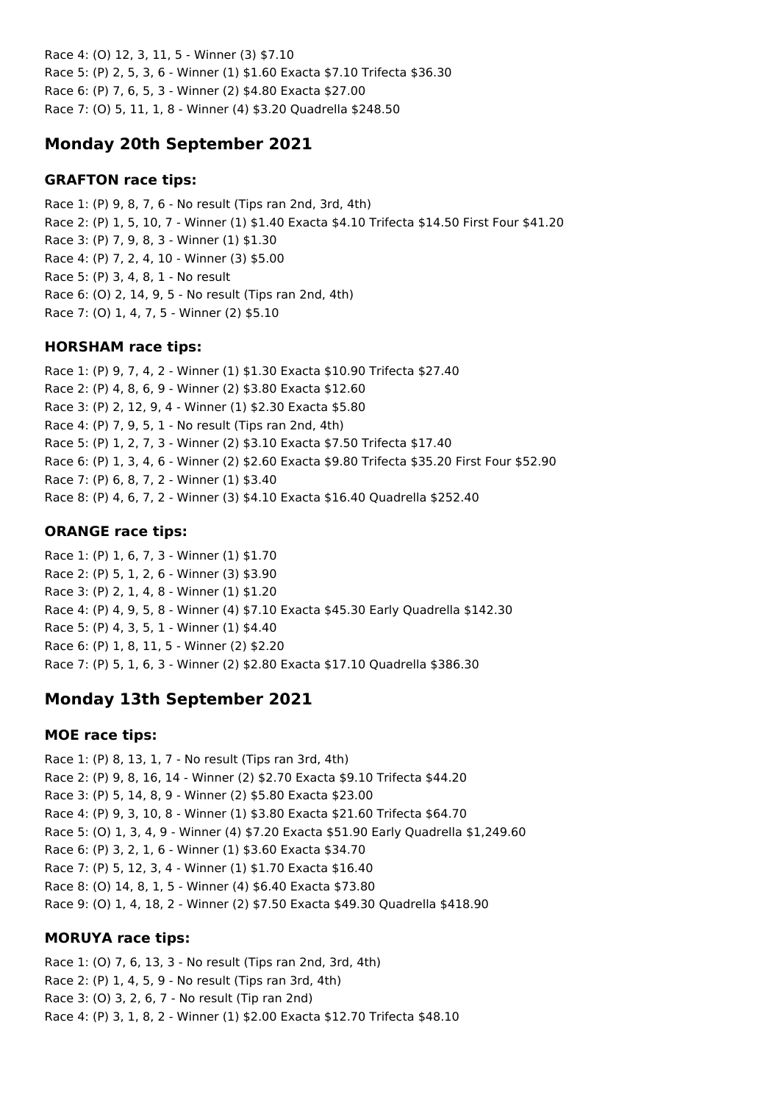Race 4: (O) 12, 3, 11, 5 - Winner (3) \$7.10 Race 5: (P) 2, 5, 3, 6 - Winner (1) \$1.60 Exacta \$7.10 Trifecta \$36.30 Race 6: (P) 7, 6, 5, 3 - Winner (2) \$4.80 Exacta \$27.00 Race 7: (O) 5, 11, 1, 8 - Winner (4) \$3.20 Quadrella \$248.50

# **Monday 20th September 2021**

### **GRAFTON race tips:**

Race 1: (P) 9, 8, 7, 6 - No result (Tips ran 2nd, 3rd, 4th) Race 2: (P) 1, 5, 10, 7 - Winner (1) \$1.40 Exacta \$4.10 Trifecta \$14.50 First Four \$41.20 Race 3: (P) 7, 9, 8, 3 - Winner (1) \$1.30 Race 4: (P) 7, 2, 4, 10 - Winner (3) \$5.00 Race 5: (P) 3, 4, 8, 1 - No result Race 6: (O) 2, 14, 9, 5 - No result (Tips ran 2nd, 4th) Race 7: (O) 1, 4, 7, 5 - Winner (2) \$5.10

## **HORSHAM race tips:**

Race 1: (P) 9, 7, 4, 2 - Winner (1) \$1.30 Exacta \$10.90 Trifecta \$27.40 Race 2: (P) 4, 8, 6, 9 - Winner (2) \$3.80 Exacta \$12.60 Race 3: (P) 2, 12, 9, 4 - Winner (1) \$2.30 Exacta \$5.80 Race 4: (P) 7, 9, 5, 1 - No result (Tips ran 2nd, 4th) Race 5: (P) 1, 2, 7, 3 - Winner (2) \$3.10 Exacta \$7.50 Trifecta \$17.40 Race 6: (P) 1, 3, 4, 6 - Winner (2) \$2.60 Exacta \$9.80 Trifecta \$35.20 First Four \$52.90 Race 7: (P) 6, 8, 7, 2 - Winner (1) \$3.40 Race 8: (P) 4, 6, 7, 2 - Winner (3) \$4.10 Exacta \$16.40 Quadrella \$252.40

## **ORANGE race tips:**

Race 1: (P) 1, 6, 7, 3 - Winner (1) \$1.70 Race 2: (P) 5, 1, 2, 6 - Winner (3) \$3.90 Race 3: (P) 2, 1, 4, 8 - Winner (1) \$1.20 Race 4: (P) 4, 9, 5, 8 - Winner (4) \$7.10 Exacta \$45.30 Early Quadrella \$142.30 Race 5: (P) 4, 3, 5, 1 - Winner (1) \$4.40 Race 6: (P) 1, 8, 11, 5 - Winner (2) \$2.20 Race 7: (P) 5, 1, 6, 3 - Winner (2) \$2.80 Exacta \$17.10 Quadrella \$386.30

# **Monday 13th September 2021**

## **MOE race tips:**

Race 1: (P) 8, 13, 1, 7 - No result (Tips ran 3rd, 4th) Race 2: (P) 9, 8, 16, 14 - Winner (2) \$2.70 Exacta \$9.10 Trifecta \$44.20 Race 3: (P) 5, 14, 8, 9 - Winner (2) \$5.80 Exacta \$23.00 Race 4: (P) 9, 3, 10, 8 - Winner (1) \$3.80 Exacta \$21.60 Trifecta \$64.70 Race 5: (O) 1, 3, 4, 9 - Winner (4) \$7.20 Exacta \$51.90 Early Quadrella \$1,249.60 Race 6: (P) 3, 2, 1, 6 - Winner (1) \$3.60 Exacta \$34.70 Race 7: (P) 5, 12, 3, 4 - Winner (1) \$1.70 Exacta \$16.40 Race 8: (O) 14, 8, 1, 5 - Winner (4) \$6.40 Exacta \$73.80 Race 9: (O) 1, 4, 18, 2 - Winner (2) \$7.50 Exacta \$49.30 Quadrella \$418.90

## **MORUYA race tips:**

Race 1: (O) 7, 6, 13, 3 - No result (Tips ran 2nd, 3rd, 4th) Race 2: (P) 1, 4, 5, 9 - No result (Tips ran 3rd, 4th) Race 3: (O) 3, 2, 6, 7 - No result (Tip ran 2nd) Race 4: (P) 3, 1, 8, 2 - Winner (1) \$2.00 Exacta \$12.70 Trifecta \$48.10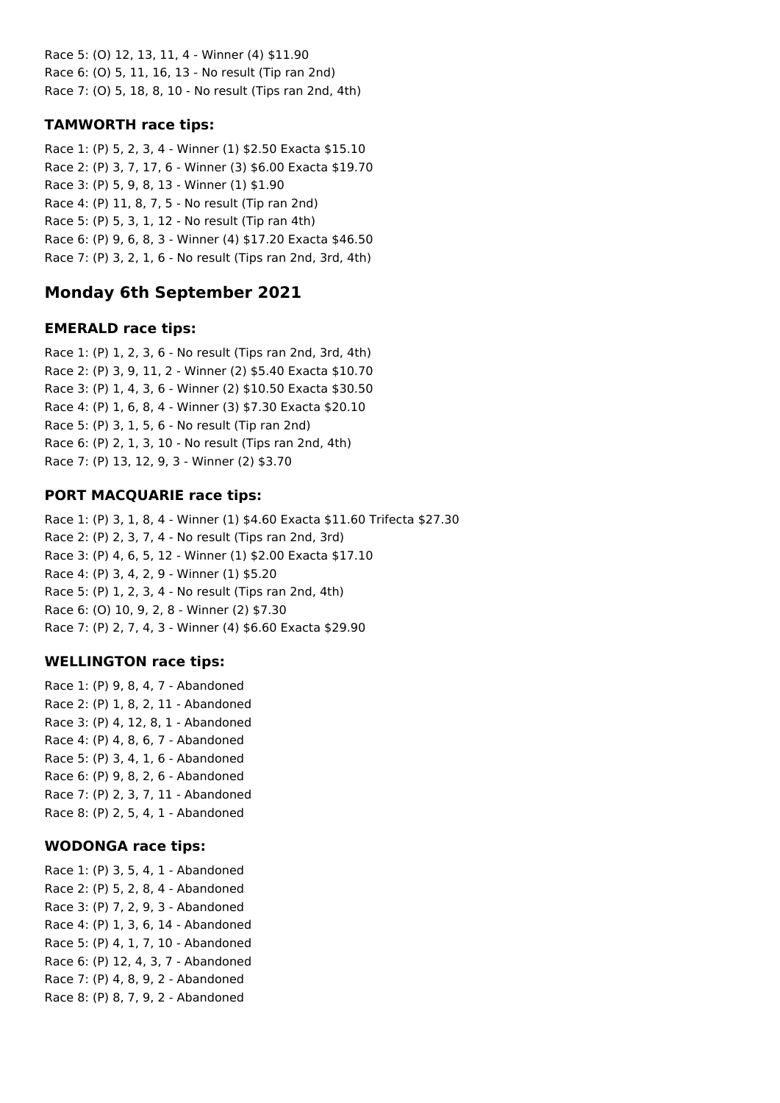Race 5: (O) 12, 13, 11, 4 - Winner (4) \$11.90 Race 6: (O) 5, 11, 16, 13 - No result (Tip ran 2nd) Race 7: (O) 5, 18, 8, 10 - No result (Tips ran 2nd, 4th)

## **TAMWORTH race tips:**

Race 1: (P) 5, 2, 3, 4 - Winner (1) \$2.50 Exacta \$15.10 Race 2: (P) 3, 7, 17, 6 - Winner (3) \$6.00 Exacta \$19.70 Race 3: (P) 5, 9, 8, 13 - Winner (1) \$1.90 Race 4: (P) 11, 8, 7, 5 - No result (Tip ran 2nd) Race 5: (P) 5, 3, 1, 12 - No result (Tip ran 4th) Race 6: (P) 9, 6, 8, 3 - Winner (4) \$17.20 Exacta \$46.50 Race 7: (P) 3, 2, 1, 6 - No result (Tips ran 2nd, 3rd, 4th)

# **Monday 6th September 2021**

## **EMERALD race tips:**

Race 1: (P) 1, 2, 3, 6 - No result (Tips ran 2nd, 3rd, 4th) Race 2: (P) 3, 9, 11, 2 - Winner (2) \$5.40 Exacta \$10.70 Race 3: (P) 1, 4, 3, 6 - Winner (2) \$10.50 Exacta \$30.50 Race 4: (P) 1, 6, 8, 4 - Winner (3) \$7.30 Exacta \$20.10 Race 5: (P) 3, 1, 5, 6 - No result (Tip ran 2nd) Race 6: (P) 2, 1, 3, 10 - No result (Tips ran 2nd, 4th) Race 7: (P) 13, 12, 9, 3 - Winner (2) \$3.70

## **PORT MACQUARIE race tips:**

Race 1: (P) 3, 1, 8, 4 - Winner (1) \$4.60 Exacta \$11.60 Trifecta \$27.30 Race 2: (P) 2, 3, 7, 4 - No result (Tips ran 2nd, 3rd) Race 3: (P) 4, 6, 5, 12 - Winner (1) \$2.00 Exacta \$17.10 Race 4: (P) 3, 4, 2, 9 - Winner (1) \$5.20 Race 5: (P) 1, 2, 3, 4 - No result (Tips ran 2nd, 4th) Race 6: (O) 10, 9, 2, 8 - Winner (2) \$7.30 Race 7: (P) 2, 7, 4, 3 - Winner (4) \$6.60 Exacta \$29.90

## **WELLINGTON race tips:**

Race 1: (P) 9, 8, 4, 7 - Abandoned Race 2: (P) 1, 8, 2, 11 - Abandoned Race 3: (P) 4, 12, 8, 1 - Abandoned Race 4: (P) 4, 8, 6, 7 - Abandoned Race 5: (P) 3, 4, 1, 6 - Abandoned Race 6: (P) 9, 8, 2, 6 - Abandoned Race 7: (P) 2, 3, 7, 11 - Abandoned Race 8: (P) 2, 5, 4, 1 - Abandoned

### **WODONGA race tips:**

Race 1: (P) 3, 5, 4, 1 - Abandoned Race 2: (P) 5, 2, 8, 4 - Abandoned Race 3: (P) 7, 2, 9, 3 - Abandoned Race 4: (P) 1, 3, 6, 14 - Abandoned Race 5: (P) 4, 1, 7, 10 - Abandoned Race 6: (P) 12, 4, 3, 7 - Abandoned Race 7: (P) 4, 8, 9, 2 - Abandoned Race 8: (P) 8, 7, 9, 2 - Abandoned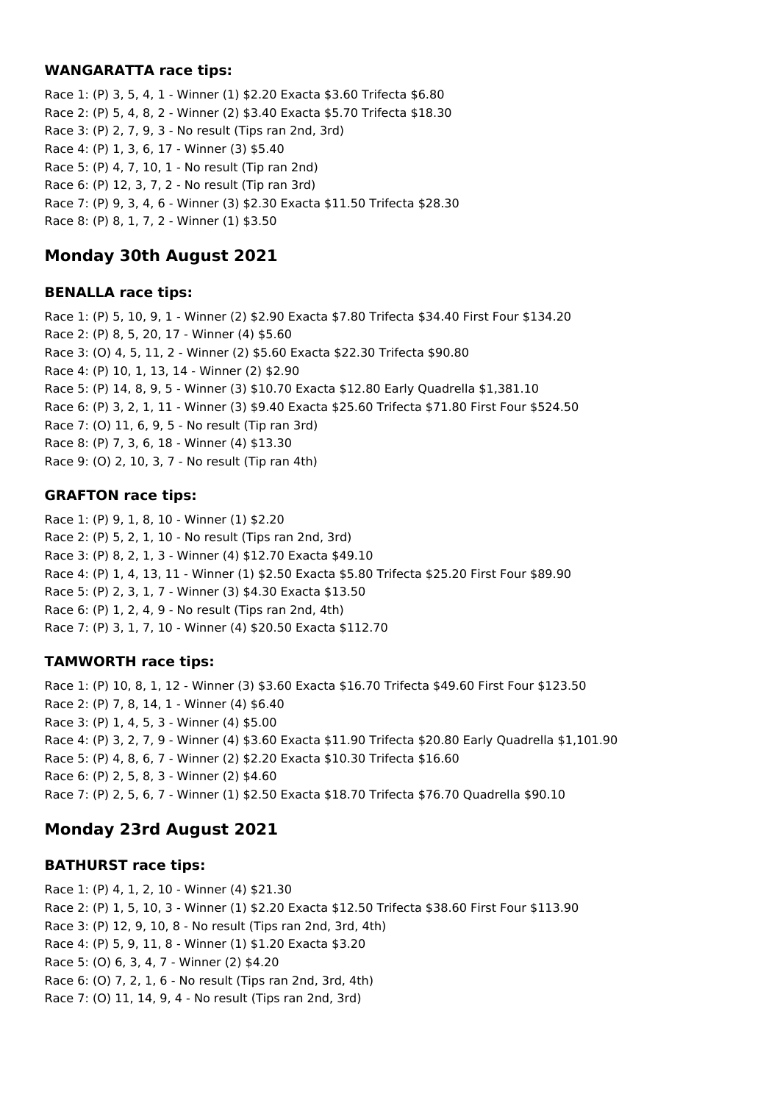### **WANGARATTA race tips:**

Race 1: (P) 3, 5, 4, 1 - Winner (1) \$2.20 Exacta \$3.60 Trifecta \$6.80 Race 2: (P) 5, 4, 8, 2 - Winner (2) \$3.40 Exacta \$5.70 Trifecta \$18.30 Race 3: (P) 2, 7, 9, 3 - No result (Tips ran 2nd, 3rd) Race 4: (P) 1, 3, 6, 17 - Winner (3) \$5.40 Race 5: (P) 4, 7, 10, 1 - No result (Tip ran 2nd) Race 6: (P) 12, 3, 7, 2 - No result (Tip ran 3rd) Race 7: (P) 9, 3, 4, 6 - Winner (3) \$2.30 Exacta \$11.50 Trifecta \$28.30 Race 8: (P) 8, 1, 7, 2 - Winner (1) \$3.50

# **Monday 30th August 2021**

### **BENALLA race tips:**

Race 1: (P) 5, 10, 9, 1 - Winner (2) \$2.90 Exacta \$7.80 Trifecta \$34.40 First Four \$134.20 Race 2: (P) 8, 5, 20, 17 - Winner (4) \$5.60 Race 3: (O) 4, 5, 11, 2 - Winner (2) \$5.60 Exacta \$22.30 Trifecta \$90.80 Race 4: (P) 10, 1, 13, 14 - Winner (2) \$2.90 Race 5: (P) 14, 8, 9, 5 - Winner (3) \$10.70 Exacta \$12.80 Early Quadrella \$1,381.10 Race 6: (P) 3, 2, 1, 11 - Winner (3) \$9.40 Exacta \$25.60 Trifecta \$71.80 First Four \$524.50 Race 7: (O) 11, 6, 9, 5 - No result (Tip ran 3rd) Race 8: (P) 7, 3, 6, 18 - Winner (4) \$13.30 Race 9: (O) 2, 10, 3, 7 - No result (Tip ran 4th)

### **GRAFTON race tips:**

Race 1: (P) 9, 1, 8, 10 - Winner (1) \$2.20 Race 2: (P) 5, 2, 1, 10 - No result (Tips ran 2nd, 3rd) Race 3: (P) 8, 2, 1, 3 - Winner (4) \$12.70 Exacta \$49.10 Race 4: (P) 1, 4, 13, 11 - Winner (1) \$2.50 Exacta \$5.80 Trifecta \$25.20 First Four \$89.90 Race 5: (P) 2, 3, 1, 7 - Winner (3) \$4.30 Exacta \$13.50 Race 6: (P) 1, 2, 4, 9 - No result (Tips ran 2nd, 4th) Race 7: (P) 3, 1, 7, 10 - Winner (4) \$20.50 Exacta \$112.70

### **TAMWORTH race tips:**

Race 1: (P) 10, 8, 1, 12 - Winner (3) \$3.60 Exacta \$16.70 Trifecta \$49.60 First Four \$123.50 Race 2: (P) 7, 8, 14, 1 - Winner (4) \$6.40 Race 3: (P) 1, 4, 5, 3 - Winner (4) \$5.00 Race 4: (P) 3, 2, 7, 9 - Winner (4) \$3.60 Exacta \$11.90 Trifecta \$20.80 Early Quadrella \$1,101.90 Race 5: (P) 4, 8, 6, 7 - Winner (2) \$2.20 Exacta \$10.30 Trifecta \$16.60 Race 6: (P) 2, 5, 8, 3 - Winner (2) \$4.60 Race 7: (P) 2, 5, 6, 7 - Winner (1) \$2.50 Exacta \$18.70 Trifecta \$76.70 Quadrella \$90.10

# **Monday 23rd August 2021**

### **BATHURST race tips:**

Race 1: (P) 4, 1, 2, 10 - Winner (4) \$21.30 Race 2: (P) 1, 5, 10, 3 - Winner (1) \$2.20 Exacta \$12.50 Trifecta \$38.60 First Four \$113.90 Race 3: (P) 12, 9, 10, 8 - No result (Tips ran 2nd, 3rd, 4th) Race 4: (P) 5, 9, 11, 8 - Winner (1) \$1.20 Exacta \$3.20 Race 5: (O) 6, 3, 4, 7 - Winner (2) \$4.20 Race 6: (O) 7, 2, 1, 6 - No result (Tips ran 2nd, 3rd, 4th) Race 7: (O) 11, 14, 9, 4 - No result (Tips ran 2nd, 3rd)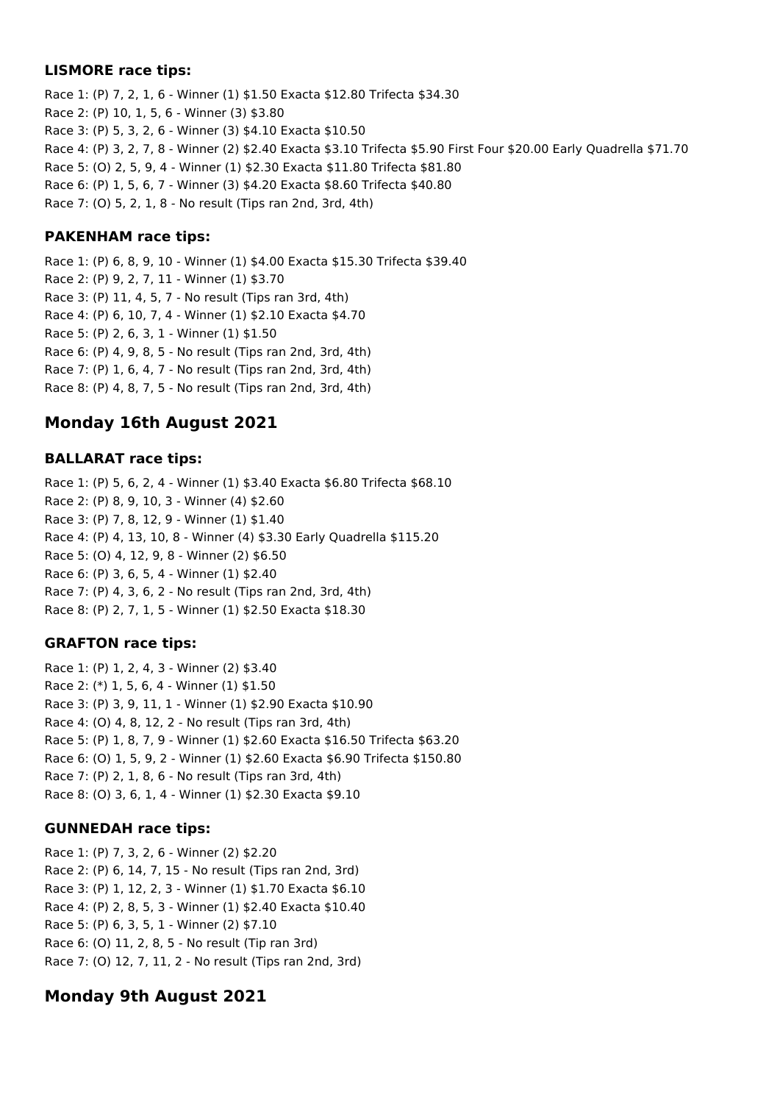### **LISMORE race tips:**

Race 1: (P) 7, 2, 1, 6 - Winner (1) \$1.50 Exacta \$12.80 Trifecta \$34.30 Race 2: (P) 10, 1, 5, 6 - Winner (3) \$3.80 Race 3: (P) 5, 3, 2, 6 - Winner (3) \$4.10 Exacta \$10.50 Race 4: (P) 3, 2, 7, 8 - Winner (2) \$2.40 Exacta \$3.10 Trifecta \$5.90 First Four \$20.00 Early Quadrella \$71.70 Race 5: (O) 2, 5, 9, 4 - Winner (1) \$2.30 Exacta \$11.80 Trifecta \$81.80 Race 6: (P) 1, 5, 6, 7 - Winner (3) \$4.20 Exacta \$8.60 Trifecta \$40.80 Race 7: (O) 5, 2, 1, 8 - No result (Tips ran 2nd, 3rd, 4th)

## **PAKENHAM race tips:**

Race 1: (P) 6, 8, 9, 10 - Winner (1) \$4.00 Exacta \$15.30 Trifecta \$39.40 Race 2: (P) 9, 2, 7, 11 - Winner (1) \$3.70 Race 3: (P) 11, 4, 5, 7 - No result (Tips ran 3rd, 4th) Race 4: (P) 6, 10, 7, 4 - Winner (1) \$2.10 Exacta \$4.70 Race 5: (P) 2, 6, 3, 1 - Winner (1) \$1.50 Race 6: (P) 4, 9, 8, 5 - No result (Tips ran 2nd, 3rd, 4th) Race 7: (P) 1, 6, 4, 7 - No result (Tips ran 2nd, 3rd, 4th) Race 8: (P) 4, 8, 7, 5 - No result (Tips ran 2nd, 3rd, 4th)

# **Monday 16th August 2021**

## **BALLARAT race tips:**

Race 1: (P) 5, 6, 2, 4 - Winner (1) \$3.40 Exacta \$6.80 Trifecta \$68.10 Race 2: (P) 8, 9, 10, 3 - Winner (4) \$2.60 Race 3: (P) 7, 8, 12, 9 - Winner (1) \$1.40 Race 4: (P) 4, 13, 10, 8 - Winner (4) \$3.30 Early Quadrella \$115.20 Race 5: (O) 4, 12, 9, 8 - Winner (2) \$6.50 Race 6: (P) 3, 6, 5, 4 - Winner (1) \$2.40 Race 7: (P) 4, 3, 6, 2 - No result (Tips ran 2nd, 3rd, 4th) Race 8: (P) 2, 7, 1, 5 - Winner (1) \$2.50 Exacta \$18.30

## **GRAFTON race tips:**

Race 1: (P) 1, 2, 4, 3 - Winner (2) \$3.40 Race 2: (\*) 1, 5, 6, 4 - Winner (1) \$1.50 Race 3: (P) 3, 9, 11, 1 - Winner (1) \$2.90 Exacta \$10.90 Race 4: (O) 4, 8, 12, 2 - No result (Tips ran 3rd, 4th) Race 5: (P) 1, 8, 7, 9 - Winner (1) \$2.60 Exacta \$16.50 Trifecta \$63.20 Race 6: (O) 1, 5, 9, 2 - Winner (1) \$2.60 Exacta \$6.90 Trifecta \$150.80 Race 7: (P) 2, 1, 8, 6 - No result (Tips ran 3rd, 4th) Race 8: (O) 3, 6, 1, 4 - Winner (1) \$2.30 Exacta \$9.10

## **GUNNEDAH race tips:**

Race 1: (P) 7, 3, 2, 6 - Winner (2) \$2.20 Race 2: (P) 6, 14, 7, 15 - No result (Tips ran 2nd, 3rd) Race 3: (P) 1, 12, 2, 3 - Winner (1) \$1.70 Exacta \$6.10 Race 4: (P) 2, 8, 5, 3 - Winner (1) \$2.40 Exacta \$10.40 Race 5: (P) 6, 3, 5, 1 - Winner (2) \$7.10 Race 6: (O) 11, 2, 8, 5 - No result (Tip ran 3rd) Race 7: (O) 12, 7, 11, 2 - No result (Tips ran 2nd, 3rd)

# **Monday 9th August 2021**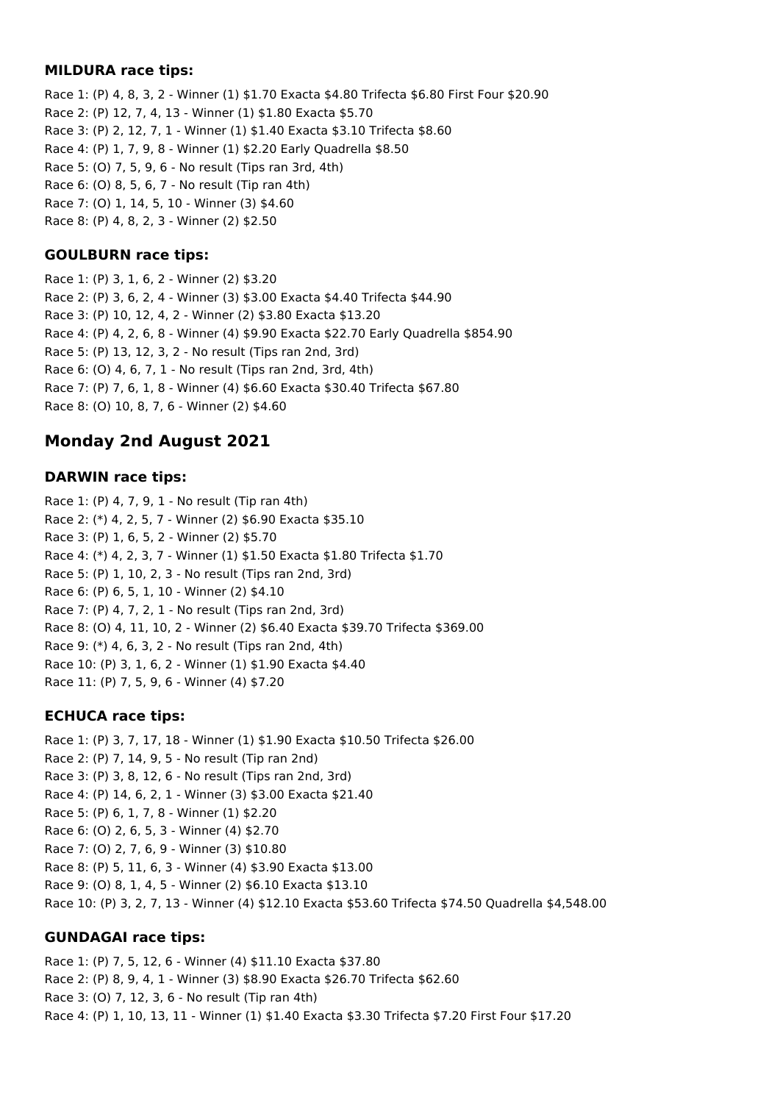### **MILDURA race tips:**

Race 1: (P) 4, 8, 3, 2 - Winner (1) \$1.70 Exacta \$4.80 Trifecta \$6.80 First Four \$20.90 Race 2: (P) 12, 7, 4, 13 - Winner (1) \$1.80 Exacta \$5.70 Race 3: (P) 2, 12, 7, 1 - Winner (1) \$1.40 Exacta \$3.10 Trifecta \$8.60 Race 4: (P) 1, 7, 9, 8 - Winner (1) \$2.20 Early Quadrella \$8.50 Race 5: (O) 7, 5, 9, 6 - No result (Tips ran 3rd, 4th) Race 6: (O) 8, 5, 6, 7 - No result (Tip ran 4th) Race 7: (O) 1, 14, 5, 10 - Winner (3) \$4.60 Race 8: (P) 4, 8, 2, 3 - Winner (2) \$2.50

### **GOULBURN race tips:**

Race 1: (P) 3, 1, 6, 2 - Winner (2) \$3.20 Race 2: (P) 3, 6, 2, 4 - Winner (3) \$3.00 Exacta \$4.40 Trifecta \$44.90 Race 3: (P) 10, 12, 4, 2 - Winner (2) \$3.80 Exacta \$13.20 Race 4: (P) 4, 2, 6, 8 - Winner (4) \$9.90 Exacta \$22.70 Early Quadrella \$854.90 Race 5: (P) 13, 12, 3, 2 - No result (Tips ran 2nd, 3rd) Race 6: (O) 4, 6, 7, 1 - No result (Tips ran 2nd, 3rd, 4th) Race 7: (P) 7, 6, 1, 8 - Winner (4) \$6.60 Exacta \$30.40 Trifecta \$67.80 Race 8: (O) 10, 8, 7, 6 - Winner (2) \$4.60

# **Monday 2nd August 2021**

### **DARWIN race tips:**

Race 1: (P) 4, 7, 9, 1 - No result (Tip ran 4th) Race 2: (\*) 4, 2, 5, 7 - Winner (2) \$6.90 Exacta \$35.10 Race 3: (P) 1, 6, 5, 2 - Winner (2) \$5.70 Race 4: (\*) 4, 2, 3, 7 - Winner (1) \$1.50 Exacta \$1.80 Trifecta \$1.70 Race 5: (P) 1, 10, 2, 3 - No result (Tips ran 2nd, 3rd) Race 6: (P) 6, 5, 1, 10 - Winner (2) \$4.10 Race 7: (P) 4, 7, 2, 1 - No result (Tips ran 2nd, 3rd) Race 8: (O) 4, 11, 10, 2 - Winner (2) \$6.40 Exacta \$39.70 Trifecta \$369.00 Race 9: (\*) 4, 6, 3, 2 - No result (Tips ran 2nd, 4th) Race 10: (P) 3, 1, 6, 2 - Winner (1) \$1.90 Exacta \$4.40 Race 11: (P) 7, 5, 9, 6 - Winner (4) \$7.20

### **ECHUCA race tips:**

Race 1: (P) 3, 7, 17, 18 - Winner (1) \$1.90 Exacta \$10.50 Trifecta \$26.00 Race 2: (P) 7, 14, 9, 5 - No result (Tip ran 2nd) Race 3: (P) 3, 8, 12, 6 - No result (Tips ran 2nd, 3rd) Race 4: (P) 14, 6, 2, 1 - Winner (3) \$3.00 Exacta \$21.40 Race 5: (P) 6, 1, 7, 8 - Winner (1) \$2.20 Race 6: (O) 2, 6, 5, 3 - Winner (4) \$2.70 Race 7: (O) 2, 7, 6, 9 - Winner (3) \$10.80 Race 8: (P) 5, 11, 6, 3 - Winner (4) \$3.90 Exacta \$13.00 Race 9: (O) 8, 1, 4, 5 - Winner (2) \$6.10 Exacta \$13.10 Race 10: (P) 3, 2, 7, 13 - Winner (4) \$12.10 Exacta \$53.60 Trifecta \$74.50 Quadrella \$4,548.00

## **GUNDAGAI race tips:**

Race 1: (P) 7, 5, 12, 6 - Winner (4) \$11.10 Exacta \$37.80 Race 2: (P) 8, 9, 4, 1 - Winner (3) \$8.90 Exacta \$26.70 Trifecta \$62.60 Race 3: (O) 7, 12, 3, 6 - No result (Tip ran 4th) Race 4: (P) 1, 10, 13, 11 - Winner (1) \$1.40 Exacta \$3.30 Trifecta \$7.20 First Four \$17.20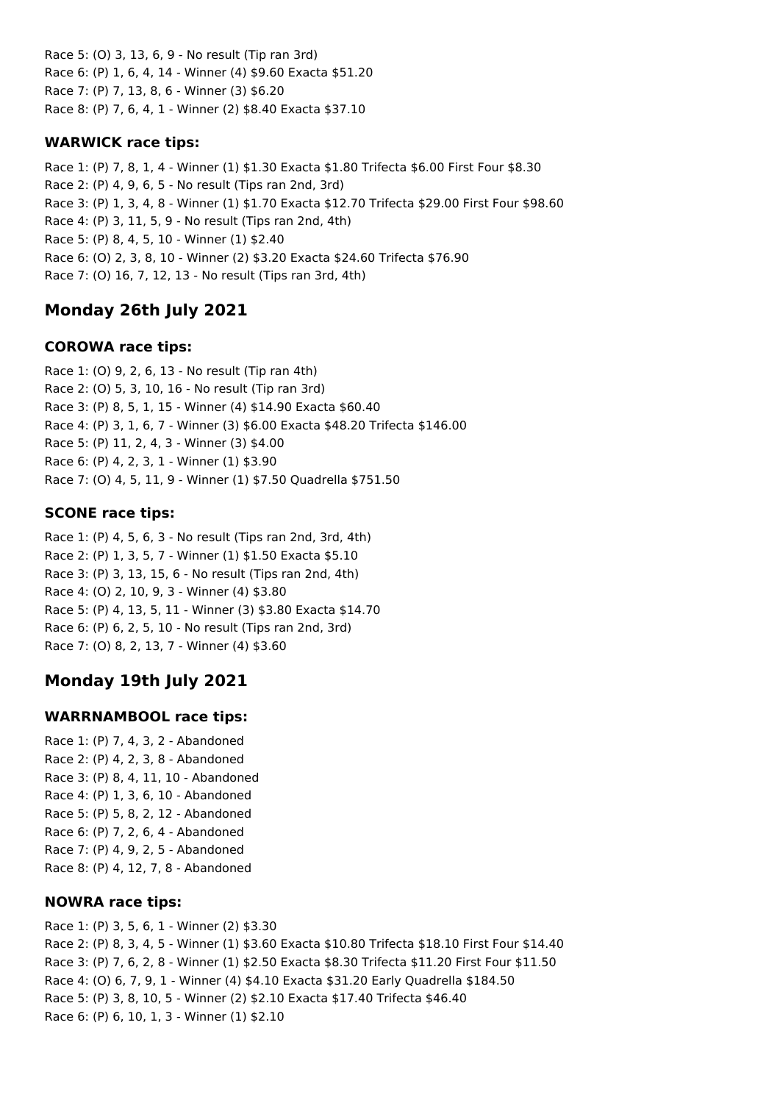Race 5: (O) 3, 13, 6, 9 - No result (Tip ran 3rd) Race 6: (P) 1, 6, 4, 14 - Winner (4) \$9.60 Exacta \$51.20 Race 7: (P) 7, 13, 8, 6 - Winner (3) \$6.20 Race 8: (P) 7, 6, 4, 1 - Winner (2) \$8.40 Exacta \$37.10

## **WARWICK race tips:**

Race 1: (P) 7, 8, 1, 4 - Winner (1) \$1.30 Exacta \$1.80 Trifecta \$6.00 First Four \$8.30 Race 2: (P) 4, 9, 6, 5 - No result (Tips ran 2nd, 3rd) Race 3: (P) 1, 3, 4, 8 - Winner (1) \$1.70 Exacta \$12.70 Trifecta \$29.00 First Four \$98.60 Race 4: (P) 3, 11, 5, 9 - No result (Tips ran 2nd, 4th) Race 5: (P) 8, 4, 5, 10 - Winner (1) \$2.40 Race 6: (O) 2, 3, 8, 10 - Winner (2) \$3.20 Exacta \$24.60 Trifecta \$76.90 Race 7: (O) 16, 7, 12, 13 - No result (Tips ran 3rd, 4th)

# **Monday 26th July 2021**

## **COROWA race tips:**

Race 1: (O) 9, 2, 6, 13 - No result (Tip ran 4th) Race 2: (O) 5, 3, 10, 16 - No result (Tip ran 3rd) Race 3: (P) 8, 5, 1, 15 - Winner (4) \$14.90 Exacta \$60.40 Race 4: (P) 3, 1, 6, 7 - Winner (3) \$6.00 Exacta \$48.20 Trifecta \$146.00 Race 5: (P) 11, 2, 4, 3 - Winner (3) \$4.00 Race 6: (P) 4, 2, 3, 1 - Winner (1) \$3.90 Race 7: (O) 4, 5, 11, 9 - Winner (1) \$7.50 Quadrella \$751.50

## **SCONE race tips:**

Race 1: (P) 4, 5, 6, 3 - No result (Tips ran 2nd, 3rd, 4th) Race 2: (P) 1, 3, 5, 7 - Winner (1) \$1.50 Exacta \$5.10 Race 3: (P) 3, 13, 15, 6 - No result (Tips ran 2nd, 4th) Race 4: (O) 2, 10, 9, 3 - Winner (4) \$3.80 Race 5: (P) 4, 13, 5, 11 - Winner (3) \$3.80 Exacta \$14.70 Race 6: (P) 6, 2, 5, 10 - No result (Tips ran 2nd, 3rd) Race 7: (O) 8, 2, 13, 7 - Winner (4) \$3.60

# **Monday 19th July 2021**

## **WARRNAMBOOL race tips:**

Race 1: (P) 7, 4, 3, 2 - Abandoned Race 2: (P) 4, 2, 3, 8 - Abandoned Race 3: (P) 8, 4, 11, 10 - Abandoned Race 4: (P) 1, 3, 6, 10 - Abandoned Race 5: (P) 5, 8, 2, 12 - Abandoned Race 6: (P) 7, 2, 6, 4 - Abandoned Race 7: (P) 4, 9, 2, 5 - Abandoned Race 8: (P) 4, 12, 7, 8 - Abandoned

## **NOWRA race tips:**

Race 1: (P) 3, 5, 6, 1 - Winner (2) \$3.30 Race 2: (P) 8, 3, 4, 5 - Winner (1) \$3.60 Exacta \$10.80 Trifecta \$18.10 First Four \$14.40 Race 3: (P) 7, 6, 2, 8 - Winner (1) \$2.50 Exacta \$8.30 Trifecta \$11.20 First Four \$11.50 Race 4: (O) 6, 7, 9, 1 - Winner (4) \$4.10 Exacta \$31.20 Early Quadrella \$184.50 Race 5: (P) 3, 8, 10, 5 - Winner (2) \$2.10 Exacta \$17.40 Trifecta \$46.40 Race 6: (P) 6, 10, 1, 3 - Winner (1) \$2.10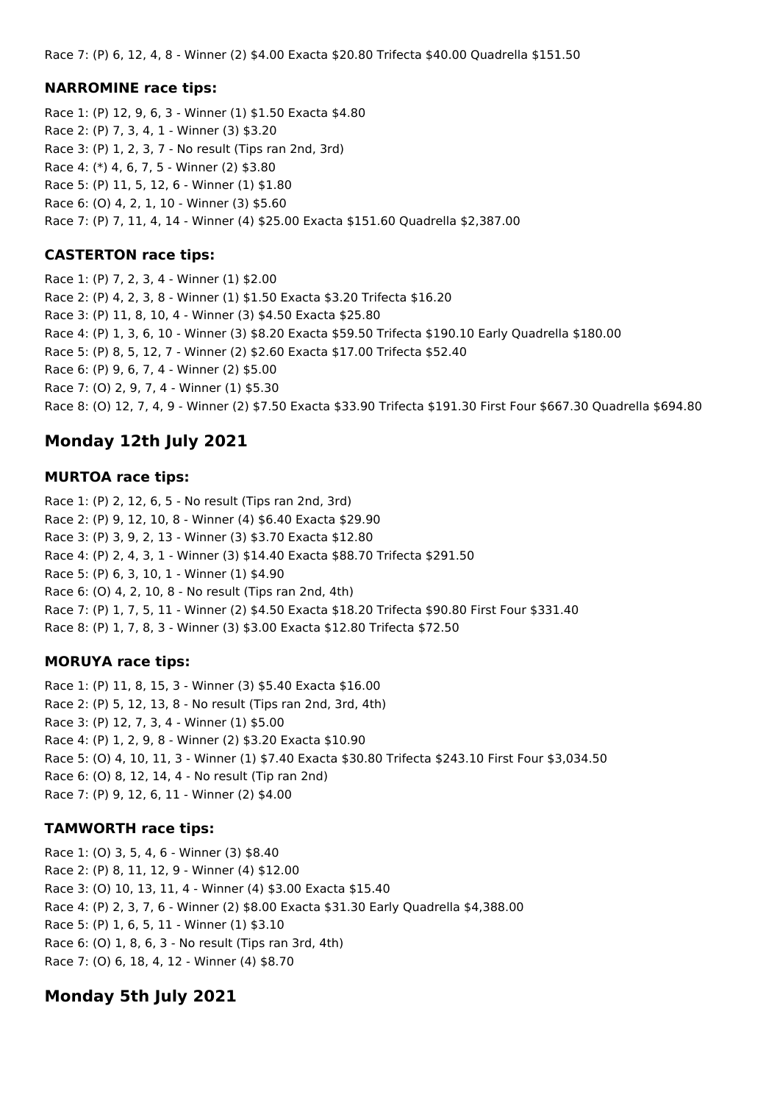Race 7: (P) 6, 12, 4, 8 - Winner (2) \$4.00 Exacta \$20.80 Trifecta \$40.00 Quadrella \$151.50

### **NARROMINE race tips:**

Race 1: (P) 12, 9, 6, 3 - Winner (1) \$1.50 Exacta \$4.80 Race 2: (P) 7, 3, 4, 1 - Winner (3) \$3.20 Race 3: (P) 1, 2, 3, 7 - No result (Tips ran 2nd, 3rd) Race 4: (\*) 4, 6, 7, 5 - Winner (2) \$3.80 Race 5: (P) 11, 5, 12, 6 - Winner (1) \$1.80 Race 6: (O) 4, 2, 1, 10 - Winner (3) \$5.60 Race 7: (P) 7, 11, 4, 14 - Winner (4) \$25.00 Exacta \$151.60 Quadrella \$2,387.00

## **CASTERTON race tips:**

Race 1: (P) 7, 2, 3, 4 - Winner (1) \$2.00 Race 2: (P) 4, 2, 3, 8 - Winner (1) \$1.50 Exacta \$3.20 Trifecta \$16.20 Race 3: (P) 11, 8, 10, 4 - Winner (3) \$4.50 Exacta \$25.80 Race 4: (P) 1, 3, 6, 10 - Winner (3) \$8.20 Exacta \$59.50 Trifecta \$190.10 Early Quadrella \$180.00 Race 5: (P) 8, 5, 12, 7 - Winner (2) \$2.60 Exacta \$17.00 Trifecta \$52.40 Race 6: (P) 9, 6, 7, 4 - Winner (2) \$5.00 Race 7: (O) 2, 9, 7, 4 - Winner (1) \$5.30 Race 8: (O) 12, 7, 4, 9 - Winner (2) \$7.50 Exacta \$33.90 Trifecta \$191.30 First Four \$667.30 Quadrella \$694.80

# **Monday 12th July 2021**

### **MURTOA race tips:**

Race 1: (P) 2, 12, 6, 5 - No result (Tips ran 2nd, 3rd) Race 2: (P) 9, 12, 10, 8 - Winner (4) \$6.40 Exacta \$29.90 Race 3: (P) 3, 9, 2, 13 - Winner (3) \$3.70 Exacta \$12.80 Race 4: (P) 2, 4, 3, 1 - Winner (3) \$14.40 Exacta \$88.70 Trifecta \$291.50 Race 5: (P) 6, 3, 10, 1 - Winner (1) \$4.90 Race 6: (O) 4, 2, 10, 8 - No result (Tips ran 2nd, 4th) Race 7: (P) 1, 7, 5, 11 - Winner (2) \$4.50 Exacta \$18.20 Trifecta \$90.80 First Four \$331.40 Race 8: (P) 1, 7, 8, 3 - Winner (3) \$3.00 Exacta \$12.80 Trifecta \$72.50

### **MORUYA race tips:**

Race 1: (P) 11, 8, 15, 3 - Winner (3) \$5.40 Exacta \$16.00 Race 2: (P) 5, 12, 13, 8 - No result (Tips ran 2nd, 3rd, 4th) Race 3: (P) 12, 7, 3, 4 - Winner (1) \$5.00 Race 4: (P) 1, 2, 9, 8 - Winner (2) \$3.20 Exacta \$10.90 Race 5: (O) 4, 10, 11, 3 - Winner (1) \$7.40 Exacta \$30.80 Trifecta \$243.10 First Four \$3,034.50 Race 6: (O) 8, 12, 14, 4 - No result (Tip ran 2nd) Race 7: (P) 9, 12, 6, 11 - Winner (2) \$4.00

## **TAMWORTH race tips:**

Race 1: (O) 3, 5, 4, 6 - Winner (3) \$8.40 Race 2: (P) 8, 11, 12, 9 - Winner (4) \$12.00 Race 3: (O) 10, 13, 11, 4 - Winner (4) \$3.00 Exacta \$15.40 Race 4: (P) 2, 3, 7, 6 - Winner (2) \$8.00 Exacta \$31.30 Early Quadrella \$4,388.00 Race 5: (P) 1, 6, 5, 11 - Winner (1) \$3.10 Race 6: (O) 1, 8, 6, 3 - No result (Tips ran 3rd, 4th) Race 7: (O) 6, 18, 4, 12 - Winner (4) \$8.70

# **Monday 5th July 2021**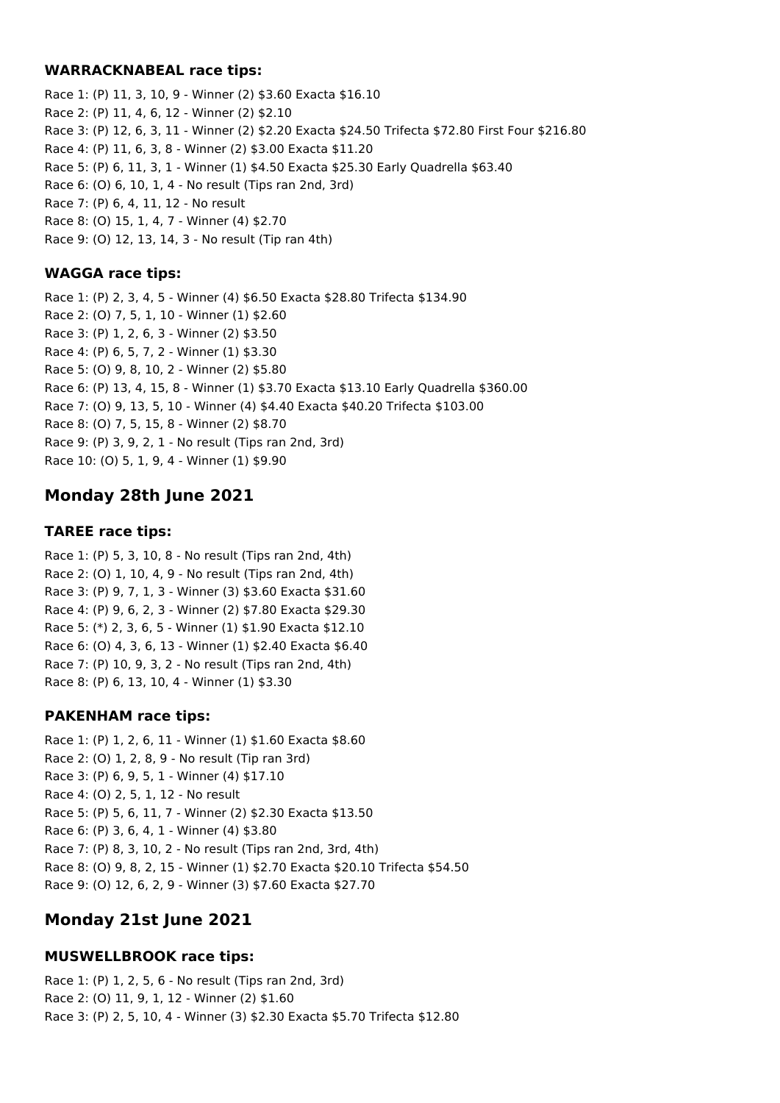### **WARRACKNABEAL race tips:**

Race 1: (P) 11, 3, 10, 9 - Winner (2) \$3.60 Exacta \$16.10 Race 2: (P) 11, 4, 6, 12 - Winner (2) \$2.10 Race 3: (P) 12, 6, 3, 11 - Winner (2) \$2.20 Exacta \$24.50 Trifecta \$72.80 First Four \$216.80 Race 4: (P) 11, 6, 3, 8 - Winner (2) \$3.00 Exacta \$11.20 Race 5: (P) 6, 11, 3, 1 - Winner (1) \$4.50 Exacta \$25.30 Early Quadrella \$63.40 Race 6: (O) 6, 10, 1, 4 - No result (Tips ran 2nd, 3rd) Race 7: (P) 6, 4, 11, 12 - No result Race 8: (O) 15, 1, 4, 7 - Winner (4) \$2.70 Race 9: (O) 12, 13, 14, 3 - No result (Tip ran 4th)

## **WAGGA race tips:**

Race 1: (P) 2, 3, 4, 5 - Winner (4) \$6.50 Exacta \$28.80 Trifecta \$134.90 Race 2: (O) 7, 5, 1, 10 - Winner (1) \$2.60 Race 3: (P) 1, 2, 6, 3 - Winner (2) \$3.50 Race 4: (P) 6, 5, 7, 2 - Winner (1) \$3.30 Race 5: (O) 9, 8, 10, 2 - Winner (2) \$5.80 Race 6: (P) 13, 4, 15, 8 - Winner (1) \$3.70 Exacta \$13.10 Early Quadrella \$360.00 Race 7: (O) 9, 13, 5, 10 - Winner (4) \$4.40 Exacta \$40.20 Trifecta \$103.00 Race 8: (O) 7, 5, 15, 8 - Winner (2) \$8.70 Race 9: (P) 3, 9, 2, 1 - No result (Tips ran 2nd, 3rd) Race 10: (O) 5, 1, 9, 4 - Winner (1) \$9.90

# **Monday 28th June 2021**

### **TAREE race tips:**

Race 1: (P) 5, 3, 10, 8 - No result (Tips ran 2nd, 4th) Race 2: (O) 1, 10, 4, 9 - No result (Tips ran 2nd, 4th) Race 3: (P) 9, 7, 1, 3 - Winner (3) \$3.60 Exacta \$31.60 Race 4: (P) 9, 6, 2, 3 - Winner (2) \$7.80 Exacta \$29.30 Race 5: (\*) 2, 3, 6, 5 - Winner (1) \$1.90 Exacta \$12.10 Race 6: (O) 4, 3, 6, 13 - Winner (1) \$2.40 Exacta \$6.40 Race 7: (P) 10, 9, 3, 2 - No result (Tips ran 2nd, 4th) Race 8: (P) 6, 13, 10, 4 - Winner (1) \$3.30

## **PAKENHAM race tips:**

Race 1: (P) 1, 2, 6, 11 - Winner (1) \$1.60 Exacta \$8.60 Race 2: (O) 1, 2, 8, 9 - No result (Tip ran 3rd) Race 3: (P) 6, 9, 5, 1 - Winner (4) \$17.10 Race 4: (O) 2, 5, 1, 12 - No result Race 5: (P) 5, 6, 11, 7 - Winner (2) \$2.30 Exacta \$13.50 Race 6: (P) 3, 6, 4, 1 - Winner (4) \$3.80 Race 7: (P) 8, 3, 10, 2 - No result (Tips ran 2nd, 3rd, 4th) Race 8: (O) 9, 8, 2, 15 - Winner (1) \$2.70 Exacta \$20.10 Trifecta \$54.50 Race 9: (O) 12, 6, 2, 9 - Winner (3) \$7.60 Exacta \$27.70

# **Monday 21st June 2021**

## **MUSWELLBROOK race tips:**

Race 1: (P) 1, 2, 5, 6 - No result (Tips ran 2nd, 3rd) Race 2: (O) 11, 9, 1, 12 - Winner (2) \$1.60 Race 3: (P) 2, 5, 10, 4 - Winner (3) \$2.30 Exacta \$5.70 Trifecta \$12.80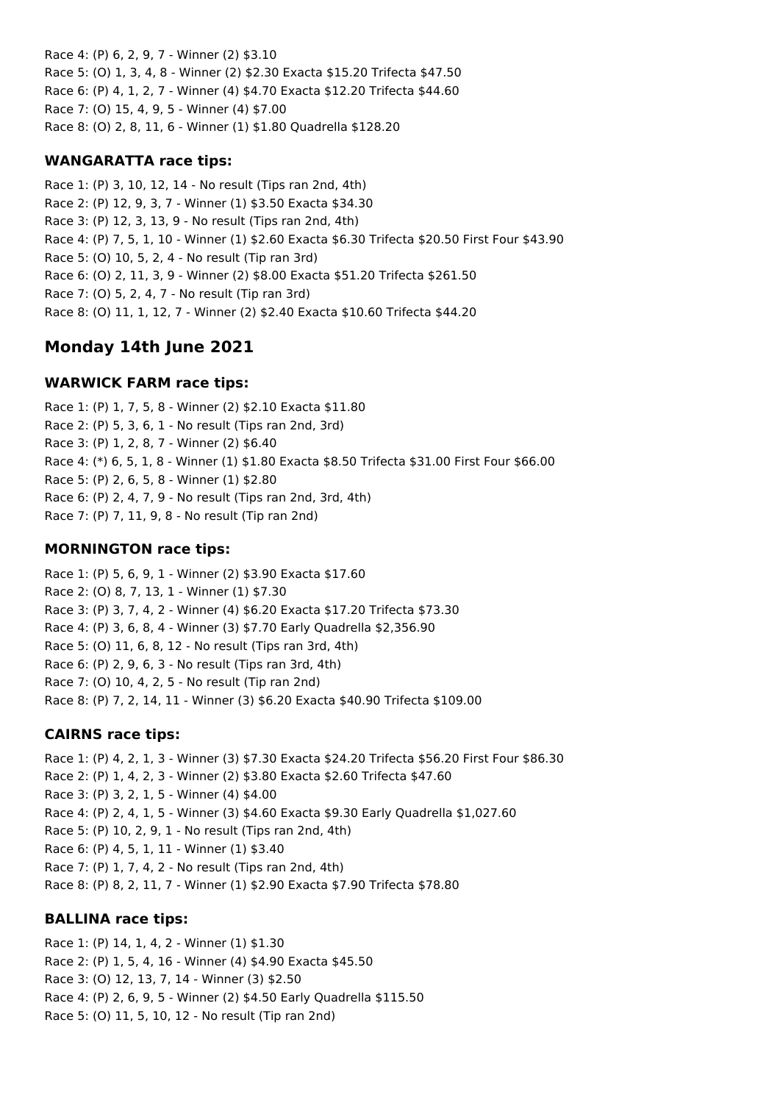Race 4: (P) 6, 2, 9, 7 - Winner (2) \$3.10 Race 5: (O) 1, 3, 4, 8 - Winner (2) \$2.30 Exacta \$15.20 Trifecta \$47.50 Race 6: (P) 4, 1, 2, 7 - Winner (4) \$4.70 Exacta \$12.20 Trifecta \$44.60 Race 7: (O) 15, 4, 9, 5 - Winner (4) \$7.00 Race 8: (O) 2, 8, 11, 6 - Winner (1) \$1.80 Quadrella \$128.20

### **WANGARATTA race tips:**

Race 1: (P) 3, 10, 12, 14 - No result (Tips ran 2nd, 4th) Race 2: (P) 12, 9, 3, 7 - Winner (1) \$3.50 Exacta \$34.30 Race 3: (P) 12, 3, 13, 9 - No result (Tips ran 2nd, 4th) Race 4: (P) 7, 5, 1, 10 - Winner (1) \$2.60 Exacta \$6.30 Trifecta \$20.50 First Four \$43.90 Race 5: (O) 10, 5, 2, 4 - No result (Tip ran 3rd) Race 6: (O) 2, 11, 3, 9 - Winner (2) \$8.00 Exacta \$51.20 Trifecta \$261.50 Race 7: (O) 5, 2, 4, 7 - No result (Tip ran 3rd) Race 8: (O) 11, 1, 12, 7 - Winner (2) \$2.40 Exacta \$10.60 Trifecta \$44.20

# **Monday 14th June 2021**

## **WARWICK FARM race tips:**

Race 1: (P) 1, 7, 5, 8 - Winner (2) \$2.10 Exacta \$11.80 Race 2: (P) 5, 3, 6, 1 - No result (Tips ran 2nd, 3rd) Race 3: (P) 1, 2, 8, 7 - Winner (2) \$6.40 Race 4: (\*) 6, 5, 1, 8 - Winner (1) \$1.80 Exacta \$8.50 Trifecta \$31.00 First Four \$66.00 Race 5: (P) 2, 6, 5, 8 - Winner (1) \$2.80 Race 6: (P) 2, 4, 7, 9 - No result (Tips ran 2nd, 3rd, 4th) Race 7: (P) 7, 11, 9, 8 - No result (Tip ran 2nd)

## **MORNINGTON race tips:**

Race 1: (P) 5, 6, 9, 1 - Winner (2) \$3.90 Exacta \$17.60 Race 2: (O) 8, 7, 13, 1 - Winner (1) \$7.30 Race 3: (P) 3, 7, 4, 2 - Winner (4) \$6.20 Exacta \$17.20 Trifecta \$73.30 Race 4: (P) 3, 6, 8, 4 - Winner (3) \$7.70 Early Quadrella \$2,356.90 Race 5: (O) 11, 6, 8, 12 - No result (Tips ran 3rd, 4th) Race 6: (P) 2, 9, 6, 3 - No result (Tips ran 3rd, 4th) Race 7: (O) 10, 4, 2, 5 - No result (Tip ran 2nd) Race 8: (P) 7, 2, 14, 11 - Winner (3) \$6.20 Exacta \$40.90 Trifecta \$109.00

## **CAIRNS race tips:**

Race 1: (P) 4, 2, 1, 3 - Winner (3) \$7.30 Exacta \$24.20 Trifecta \$56.20 First Four \$86.30 Race 2: (P) 1, 4, 2, 3 - Winner (2) \$3.80 Exacta \$2.60 Trifecta \$47.60 Race 3: (P) 3, 2, 1, 5 - Winner (4) \$4.00 Race 4: (P) 2, 4, 1, 5 - Winner (3) \$4.60 Exacta \$9.30 Early Quadrella \$1,027.60 Race 5: (P) 10, 2, 9, 1 - No result (Tips ran 2nd, 4th) Race 6: (P) 4, 5, 1, 11 - Winner (1) \$3.40 Race 7: (P) 1, 7, 4, 2 - No result (Tips ran 2nd, 4th) Race 8: (P) 8, 2, 11, 7 - Winner (1) \$2.90 Exacta \$7.90 Trifecta \$78.80

### **BALLINA race tips:**

Race 1: (P) 14, 1, 4, 2 - Winner (1) \$1.30 Race 2: (P) 1, 5, 4, 16 - Winner (4) \$4.90 Exacta \$45.50 Race 3: (O) 12, 13, 7, 14 - Winner (3) \$2.50 Race 4: (P) 2, 6, 9, 5 - Winner (2) \$4.50 Early Quadrella \$115.50 Race 5: (O) 11, 5, 10, 12 - No result (Tip ran 2nd)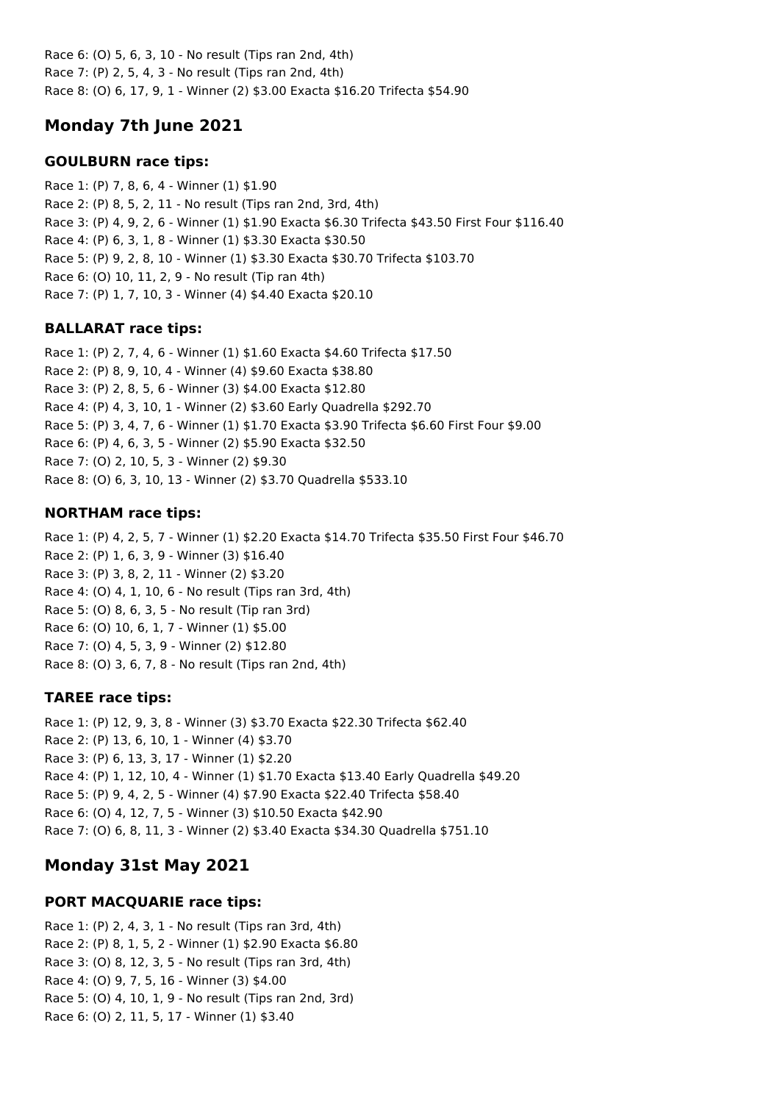Race 6: (O) 5, 6, 3, 10 - No result (Tips ran 2nd, 4th) Race 7: (P) 2, 5, 4, 3 - No result (Tips ran 2nd, 4th) Race 8: (O) 6, 17, 9, 1 - Winner (2) \$3.00 Exacta \$16.20 Trifecta \$54.90

# **Monday 7th June 2021**

## **GOULBURN race tips:**

Race 1: (P) 7, 8, 6, 4 - Winner (1) \$1.90 Race 2: (P) 8, 5, 2, 11 - No result (Tips ran 2nd, 3rd, 4th) Race 3: (P) 4, 9, 2, 6 - Winner (1) \$1.90 Exacta \$6.30 Trifecta \$43.50 First Four \$116.40 Race 4: (P) 6, 3, 1, 8 - Winner (1) \$3.30 Exacta \$30.50 Race 5: (P) 9, 2, 8, 10 - Winner (1) \$3.30 Exacta \$30.70 Trifecta \$103.70 Race 6: (O) 10, 11, 2, 9 - No result (Tip ran 4th) Race 7: (P) 1, 7, 10, 3 - Winner (4) \$4.40 Exacta \$20.10

## **BALLARAT race tips:**

Race 1: (P) 2, 7, 4, 6 - Winner (1) \$1.60 Exacta \$4.60 Trifecta \$17.50 Race 2: (P) 8, 9, 10, 4 - Winner (4) \$9.60 Exacta \$38.80 Race 3: (P) 2, 8, 5, 6 - Winner (3) \$4.00 Exacta \$12.80 Race 4: (P) 4, 3, 10, 1 - Winner (2) \$3.60 Early Quadrella \$292.70 Race 5: (P) 3, 4, 7, 6 - Winner (1) \$1.70 Exacta \$3.90 Trifecta \$6.60 First Four \$9.00 Race 6: (P) 4, 6, 3, 5 - Winner (2) \$5.90 Exacta \$32.50 Race 7: (O) 2, 10, 5, 3 - Winner (2) \$9.30 Race 8: (O) 6, 3, 10, 13 - Winner (2) \$3.70 Quadrella \$533.10

## **NORTHAM race tips:**

Race 1: (P) 4, 2, 5, 7 - Winner (1) \$2.20 Exacta \$14.70 Trifecta \$35.50 First Four \$46.70 Race 2: (P) 1, 6, 3, 9 - Winner (3) \$16.40 Race 3: (P) 3, 8, 2, 11 - Winner (2) \$3.20 Race 4: (O) 4, 1, 10, 6 - No result (Tips ran 3rd, 4th) Race 5: (O) 8, 6, 3, 5 - No result (Tip ran 3rd) Race 6: (O) 10, 6, 1, 7 - Winner (1) \$5.00 Race 7: (O) 4, 5, 3, 9 - Winner (2) \$12.80 Race 8: (O) 3, 6, 7, 8 - No result (Tips ran 2nd, 4th)

## **TAREE race tips:**

Race 1: (P) 12, 9, 3, 8 - Winner (3) \$3.70 Exacta \$22.30 Trifecta \$62.40 Race 2: (P) 13, 6, 10, 1 - Winner (4) \$3.70 Race 3: (P) 6, 13, 3, 17 - Winner (1) \$2.20 Race 4: (P) 1, 12, 10, 4 - Winner (1) \$1.70 Exacta \$13.40 Early Quadrella \$49.20 Race 5: (P) 9, 4, 2, 5 - Winner (4) \$7.90 Exacta \$22.40 Trifecta \$58.40 Race 6: (O) 4, 12, 7, 5 - Winner (3) \$10.50 Exacta \$42.90 Race 7: (O) 6, 8, 11, 3 - Winner (2) \$3.40 Exacta \$34.30 Quadrella \$751.10

# **Monday 31st May 2021**

# **PORT MACQUARIE race tips:**

Race 1: (P) 2, 4, 3, 1 - No result (Tips ran 3rd, 4th) Race 2: (P) 8, 1, 5, 2 - Winner (1) \$2.90 Exacta \$6.80 Race 3: (O) 8, 12, 3, 5 - No result (Tips ran 3rd, 4th) Race 4: (O) 9, 7, 5, 16 - Winner (3) \$4.00 Race 5: (O) 4, 10, 1, 9 - No result (Tips ran 2nd, 3rd) Race 6: (O) 2, 11, 5, 17 - Winner (1) \$3.40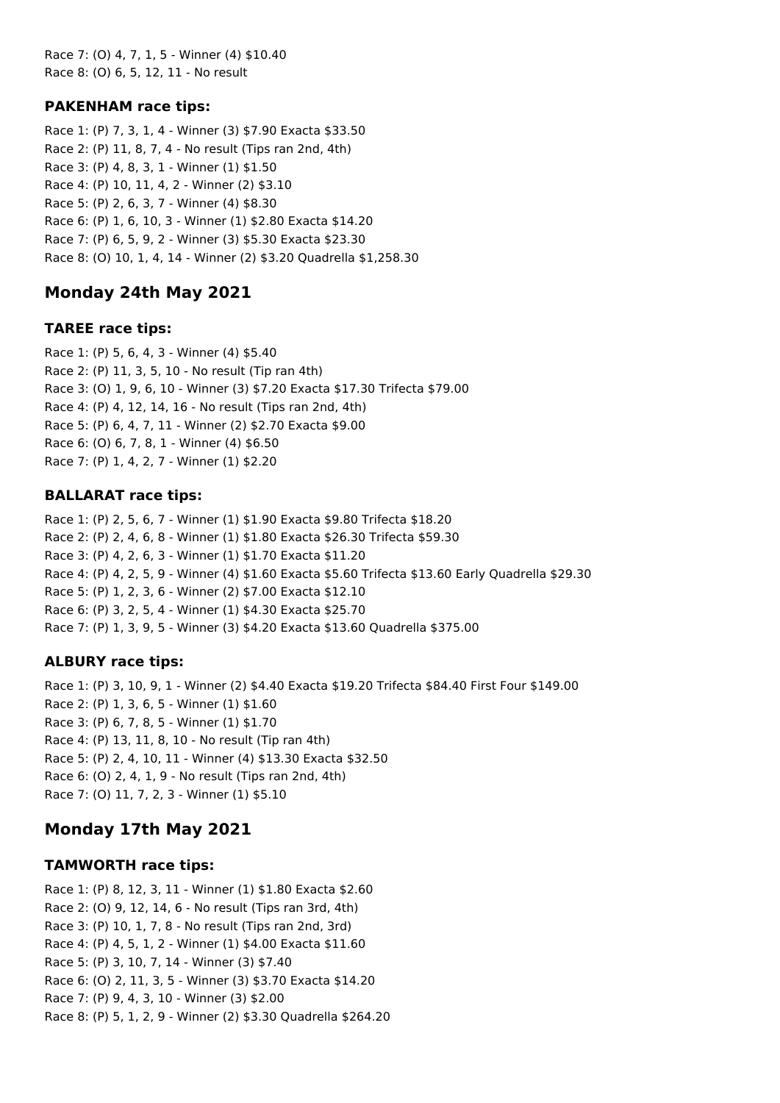Race 7: (O) 4, 7, 1, 5 - Winner (4) \$10.40 Race 8: (O) 6, 5, 12, 11 - No result

### **PAKENHAM race tips:**

Race 1: (P) 7, 3, 1, 4 - Winner (3) \$7.90 Exacta \$33.50 Race 2: (P) 11, 8, 7, 4 - No result (Tips ran 2nd, 4th) Race 3: (P) 4, 8, 3, 1 - Winner (1) \$1.50 Race 4: (P) 10, 11, 4, 2 - Winner (2) \$3.10 Race 5: (P) 2, 6, 3, 7 - Winner (4) \$8.30 Race 6: (P) 1, 6, 10, 3 - Winner (1) \$2.80 Exacta \$14.20 Race 7: (P) 6, 5, 9, 2 - Winner (3) \$5.30 Exacta \$23.30 Race 8: (O) 10, 1, 4, 14 - Winner (2) \$3.20 Quadrella \$1,258.30

## **Monday 24th May 2021**

### **TAREE race tips:**

Race 1: (P) 5, 6, 4, 3 - Winner (4) \$5.40 Race 2: (P) 11, 3, 5, 10 - No result (Tip ran 4th) Race 3: (O) 1, 9, 6, 10 - Winner (3) \$7.20 Exacta \$17.30 Trifecta \$79.00 Race 4: (P) 4, 12, 14, 16 - No result (Tips ran 2nd, 4th) Race 5: (P) 6, 4, 7, 11 - Winner (2) \$2.70 Exacta \$9.00 Race 6: (O) 6, 7, 8, 1 - Winner (4) \$6.50 Race 7: (P) 1, 4, 2, 7 - Winner (1) \$2.20

### **BALLARAT race tips:**

Race 1: (P) 2, 5, 6, 7 - Winner (1) \$1.90 Exacta \$9.80 Trifecta \$18.20 Race 2: (P) 2, 4, 6, 8 - Winner (1) \$1.80 Exacta \$26.30 Trifecta \$59.30 Race 3: (P) 4, 2, 6, 3 - Winner (1) \$1.70 Exacta \$11.20 Race 4: (P) 4, 2, 5, 9 - Winner (4) \$1.60 Exacta \$5.60 Trifecta \$13.60 Early Quadrella \$29.30 Race 5: (P) 1, 2, 3, 6 - Winner (2) \$7.00 Exacta \$12.10 Race 6: (P) 3, 2, 5, 4 - Winner (1) \$4.30 Exacta \$25.70 Race 7: (P) 1, 3, 9, 5 - Winner (3) \$4.20 Exacta \$13.60 Quadrella \$375.00

#### **ALBURY race tips:**

Race 1: (P) 3, 10, 9, 1 - Winner (2) \$4.40 Exacta \$19.20 Trifecta \$84.40 First Four \$149.00 Race 2: (P) 1, 3, 6, 5 - Winner (1) \$1.60 Race 3: (P) 6, 7, 8, 5 - Winner (1) \$1.70 Race 4: (P) 13, 11, 8, 10 - No result (Tip ran 4th) Race 5: (P) 2, 4, 10, 11 - Winner (4) \$13.30 Exacta \$32.50 Race 6: (O) 2, 4, 1, 9 - No result (Tips ran 2nd, 4th) Race 7: (O) 11, 7, 2, 3 - Winner (1) \$5.10

## **Monday 17th May 2021**

#### **TAMWORTH race tips:**

Race 1: (P) 8, 12, 3, 11 - Winner (1) \$1.80 Exacta \$2.60 Race 2: (O) 9, 12, 14, 6 - No result (Tips ran 3rd, 4th) Race 3: (P) 10, 1, 7, 8 - No result (Tips ran 2nd, 3rd) Race 4: (P) 4, 5, 1, 2 - Winner (1) \$4.00 Exacta \$11.60 Race 5: (P) 3, 10, 7, 14 - Winner (3) \$7.40 Race 6: (O) 2, 11, 3, 5 - Winner (3) \$3.70 Exacta \$14.20 Race 7: (P) 9, 4, 3, 10 - Winner (3) \$2.00 Race 8: (P) 5, 1, 2, 9 - Winner (2) \$3.30 Quadrella \$264.20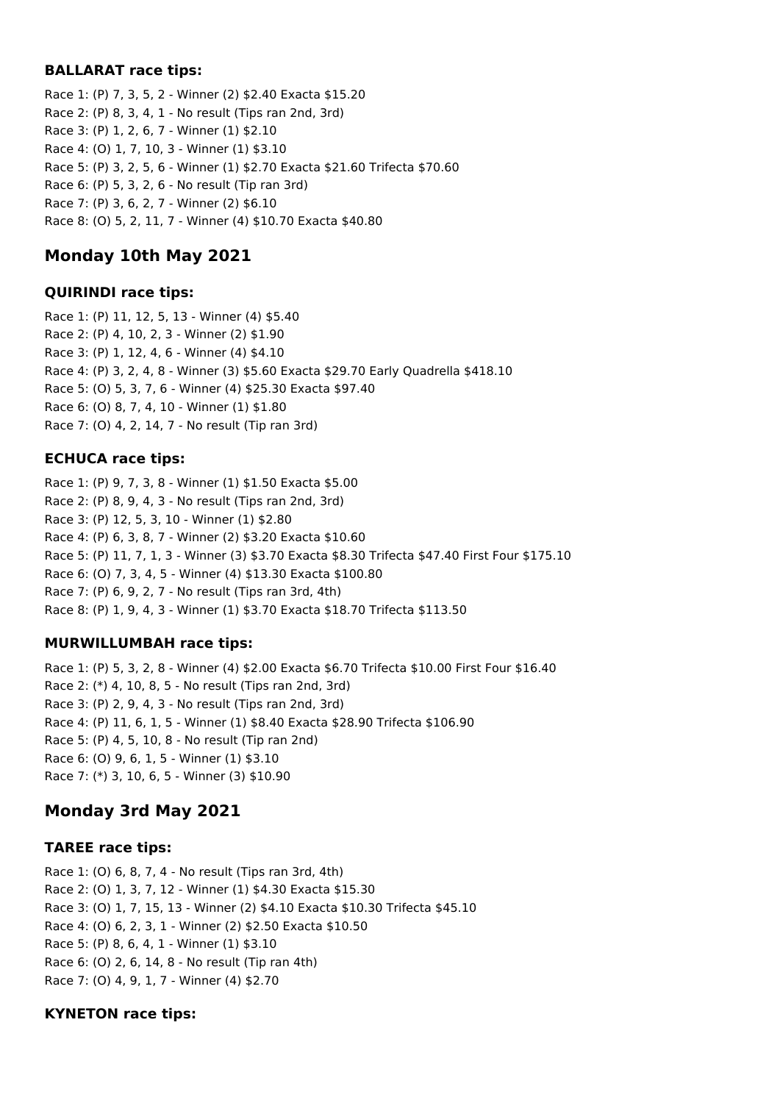### **BALLARAT race tips:**

Race 1: (P) 7, 3, 5, 2 - Winner (2) \$2.40 Exacta \$15.20 Race 2: (P) 8, 3, 4, 1 - No result (Tips ran 2nd, 3rd) Race 3: (P) 1, 2, 6, 7 - Winner (1) \$2.10 Race 4: (O) 1, 7, 10, 3 - Winner (1) \$3.10 Race 5: (P) 3, 2, 5, 6 - Winner (1) \$2.70 Exacta \$21.60 Trifecta \$70.60 Race 6: (P) 5, 3, 2, 6 - No result (Tip ran 3rd) Race 7: (P) 3, 6, 2, 7 - Winner (2) \$6.10 Race 8: (O) 5, 2, 11, 7 - Winner (4) \$10.70 Exacta \$40.80

# **Monday 10th May 2021**

### **QUIRINDI race tips:**

Race 1: (P) 11, 12, 5, 13 - Winner (4) \$5.40 Race 2: (P) 4, 10, 2, 3 - Winner (2) \$1.90 Race 3: (P) 1, 12, 4, 6 - Winner (4) \$4.10 Race 4: (P) 3, 2, 4, 8 - Winner (3) \$5.60 Exacta \$29.70 Early Quadrella \$418.10 Race 5: (O) 5, 3, 7, 6 - Winner (4) \$25.30 Exacta \$97.40 Race 6: (O) 8, 7, 4, 10 - Winner (1) \$1.80 Race 7: (O) 4, 2, 14, 7 - No result (Tip ran 3rd)

### **ECHUCA race tips:**

Race 1: (P) 9, 7, 3, 8 - Winner (1) \$1.50 Exacta \$5.00 Race 2: (P) 8, 9, 4, 3 - No result (Tips ran 2nd, 3rd) Race 3: (P) 12, 5, 3, 10 - Winner (1) \$2.80 Race 4: (P) 6, 3, 8, 7 - Winner (2) \$3.20 Exacta \$10.60 Race 5: (P) 11, 7, 1, 3 - Winner (3) \$3.70 Exacta \$8.30 Trifecta \$47.40 First Four \$175.10 Race 6: (O) 7, 3, 4, 5 - Winner (4) \$13.30 Exacta \$100.80 Race 7: (P) 6, 9, 2, 7 - No result (Tips ran 3rd, 4th) Race 8: (P) 1, 9, 4, 3 - Winner (1) \$3.70 Exacta \$18.70 Trifecta \$113.50

### **MURWILLUMBAH race tips:**

Race 1: (P) 5, 3, 2, 8 - Winner (4) \$2.00 Exacta \$6.70 Trifecta \$10.00 First Four \$16.40 Race 2: (\*) 4, 10, 8, 5 - No result (Tips ran 2nd, 3rd) Race 3: (P) 2, 9, 4, 3 - No result (Tips ran 2nd, 3rd) Race 4: (P) 11, 6, 1, 5 - Winner (1) \$8.40 Exacta \$28.90 Trifecta \$106.90 Race 5: (P) 4, 5, 10, 8 - No result (Tip ran 2nd) Race 6: (O) 9, 6, 1, 5 - Winner (1) \$3.10 Race 7: (\*) 3, 10, 6, 5 - Winner (3) \$10.90

# **Monday 3rd May 2021**

### **TAREE race tips:**

Race 1: (O) 6, 8, 7, 4 - No result (Tips ran 3rd, 4th) Race 2: (O) 1, 3, 7, 12 - Winner (1) \$4.30 Exacta \$15.30 Race 3: (O) 1, 7, 15, 13 - Winner (2) \$4.10 Exacta \$10.30 Trifecta \$45.10 Race 4: (O) 6, 2, 3, 1 - Winner (2) \$2.50 Exacta \$10.50 Race 5: (P) 8, 6, 4, 1 - Winner (1) \$3.10 Race 6: (O) 2, 6, 14, 8 - No result (Tip ran 4th) Race 7: (O) 4, 9, 1, 7 - Winner (4) \$2.70

### **KYNETON race tips:**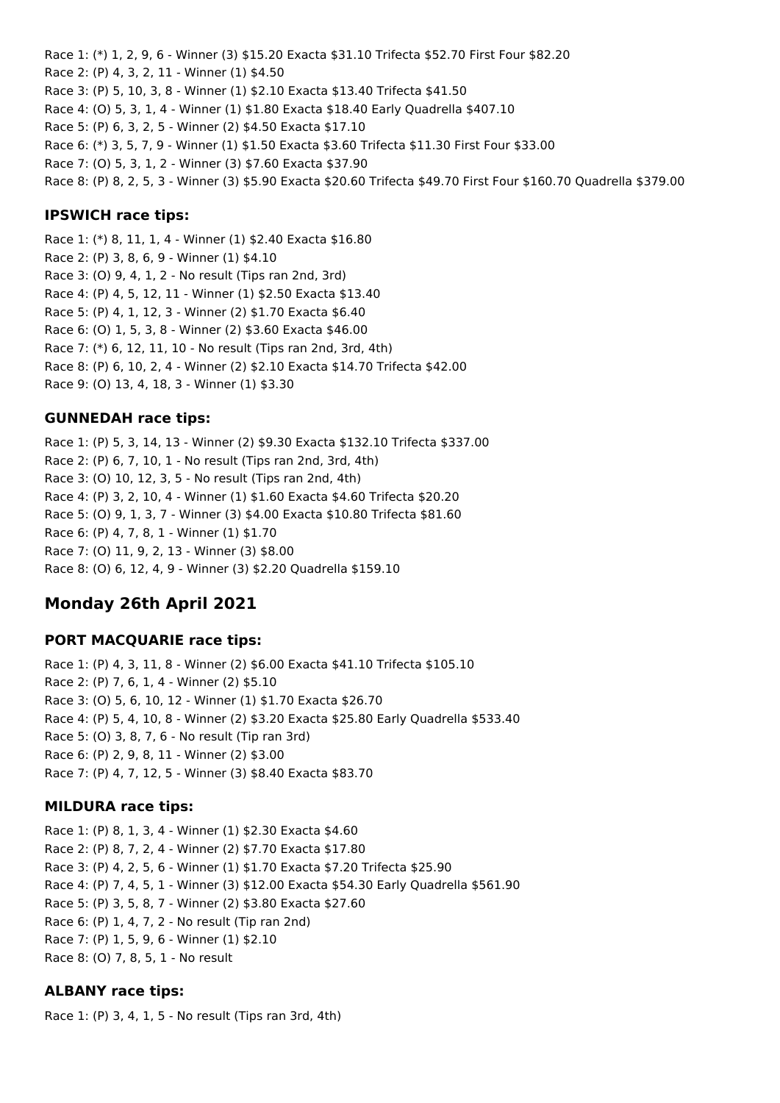Race 1: (\*) 1, 2, 9, 6 - Winner (3) \$15.20 Exacta \$31.10 Trifecta \$52.70 First Four \$82.20 Race 2: (P) 4, 3, 2, 11 - Winner (1) \$4.50 Race 3: (P) 5, 10, 3, 8 - Winner (1) \$2.10 Exacta \$13.40 Trifecta \$41.50 Race 4: (O) 5, 3, 1, 4 - Winner (1) \$1.80 Exacta \$18.40 Early Quadrella \$407.10 Race 5: (P) 6, 3, 2, 5 - Winner (2) \$4.50 Exacta \$17.10 Race 6: (\*) 3, 5, 7, 9 - Winner (1) \$1.50 Exacta \$3.60 Trifecta \$11.30 First Four \$33.00 Race 7: (O) 5, 3, 1, 2 - Winner (3) \$7.60 Exacta \$37.90 Race 8: (P) 8, 2, 5, 3 - Winner (3) \$5.90 Exacta \$20.60 Trifecta \$49.70 First Four \$160.70 Quadrella \$379.00

### **IPSWICH race tips:**

Race 1: (\*) 8, 11, 1, 4 - Winner (1) \$2.40 Exacta \$16.80 Race 2: (P) 3, 8, 6, 9 - Winner (1) \$4.10 Race 3: (O) 9, 4, 1, 2 - No result (Tips ran 2nd, 3rd) Race 4: (P) 4, 5, 12, 11 - Winner (1) \$2.50 Exacta \$13.40 Race 5: (P) 4, 1, 12, 3 - Winner (2) \$1.70 Exacta \$6.40 Race 6: (O) 1, 5, 3, 8 - Winner (2) \$3.60 Exacta \$46.00 Race 7: (\*) 6, 12, 11, 10 - No result (Tips ran 2nd, 3rd, 4th) Race 8: (P) 6, 10, 2, 4 - Winner (2) \$2.10 Exacta \$14.70 Trifecta \$42.00 Race 9: (O) 13, 4, 18, 3 - Winner (1) \$3.30

### **GUNNEDAH race tips:**

Race 1: (P) 5, 3, 14, 13 - Winner (2) \$9.30 Exacta \$132.10 Trifecta \$337.00 Race 2: (P) 6, 7, 10, 1 - No result (Tips ran 2nd, 3rd, 4th) Race 3: (O) 10, 12, 3, 5 - No result (Tips ran 2nd, 4th) Race 4: (P) 3, 2, 10, 4 - Winner (1) \$1.60 Exacta \$4.60 Trifecta \$20.20 Race 5: (O) 9, 1, 3, 7 - Winner (3) \$4.00 Exacta \$10.80 Trifecta \$81.60 Race 6: (P) 4, 7, 8, 1 - Winner (1) \$1.70 Race 7: (O) 11, 9, 2, 13 - Winner (3) \$8.00 Race 8: (O) 6, 12, 4, 9 - Winner (3) \$2.20 Quadrella \$159.10

# **Monday 26th April 2021**

#### **PORT MACQUARIE race tips:**

Race 1: (P) 4, 3, 11, 8 - Winner (2) \$6.00 Exacta \$41.10 Trifecta \$105.10 Race 2: (P) 7, 6, 1, 4 - Winner (2) \$5.10 Race 3: (O) 5, 6, 10, 12 - Winner (1) \$1.70 Exacta \$26.70 Race 4: (P) 5, 4, 10, 8 - Winner (2) \$3.20 Exacta \$25.80 Early Quadrella \$533.40 Race 5: (O) 3, 8, 7, 6 - No result (Tip ran 3rd) Race 6: (P) 2, 9, 8, 11 - Winner (2) \$3.00 Race 7: (P) 4, 7, 12, 5 - Winner (3) \$8.40 Exacta \$83.70

#### **MILDURA race tips:**

Race 1: (P) 8, 1, 3, 4 - Winner (1) \$2.30 Exacta \$4.60 Race 2: (P) 8, 7, 2, 4 - Winner (2) \$7.70 Exacta \$17.80 Race 3: (P) 4, 2, 5, 6 - Winner (1) \$1.70 Exacta \$7.20 Trifecta \$25.90 Race 4: (P) 7, 4, 5, 1 - Winner (3) \$12.00 Exacta \$54.30 Early Quadrella \$561.90 Race 5: (P) 3, 5, 8, 7 - Winner (2) \$3.80 Exacta \$27.60 Race 6: (P) 1, 4, 7, 2 - No result (Tip ran 2nd) Race 7: (P) 1, 5, 9, 6 - Winner (1) \$2.10 Race 8: (O) 7, 8, 5, 1 - No result

### **ALBANY race tips:**

Race 1: (P) 3, 4, 1, 5 - No result (Tips ran 3rd, 4th)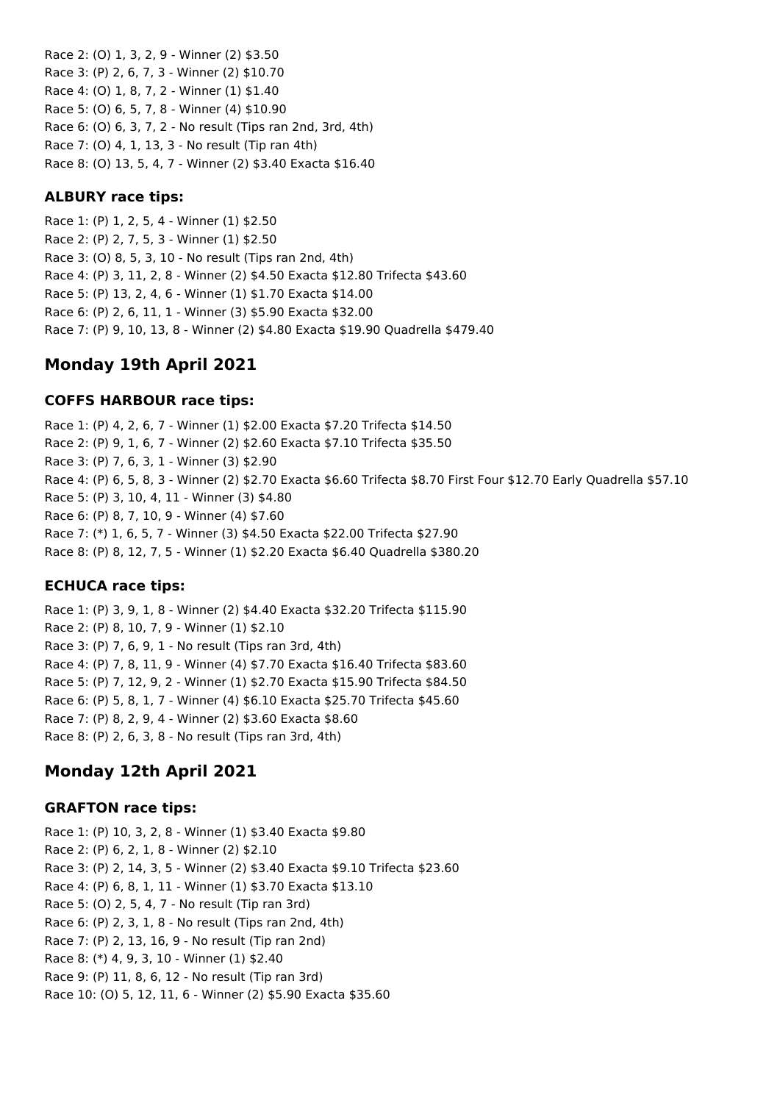Race 2: (O) 1, 3, 2, 9 - Winner (2) \$3.50 Race 3: (P) 2, 6, 7, 3 - Winner (2) \$10.70 Race 4: (O) 1, 8, 7, 2 - Winner (1) \$1.40 Race 5: (O) 6, 5, 7, 8 - Winner (4) \$10.90 Race 6: (O) 6, 3, 7, 2 - No result (Tips ran 2nd, 3rd, 4th) Race 7: (O) 4, 1, 13, 3 - No result (Tip ran 4th) Race 8: (O) 13, 5, 4, 7 - Winner (2) \$3.40 Exacta \$16.40

### **ALBURY race tips:**

Race 1: (P) 1, 2, 5, 4 - Winner (1) \$2.50 Race 2: (P) 2, 7, 5, 3 - Winner (1) \$2.50 Race 3: (O) 8, 5, 3, 10 - No result (Tips ran 2nd, 4th) Race 4: (P) 3, 11, 2, 8 - Winner (2) \$4.50 Exacta \$12.80 Trifecta \$43.60 Race 5: (P) 13, 2, 4, 6 - Winner (1) \$1.70 Exacta \$14.00 Race 6: (P) 2, 6, 11, 1 - Winner (3) \$5.90 Exacta \$32.00 Race 7: (P) 9, 10, 13, 8 - Winner (2) \$4.80 Exacta \$19.90 Quadrella \$479.40

# **Monday 19th April 2021**

### **COFFS HARBOUR race tips:**

Race 1: (P) 4, 2, 6, 7 - Winner (1) \$2.00 Exacta \$7.20 Trifecta \$14.50 Race 2: (P) 9, 1, 6, 7 - Winner (2) \$2.60 Exacta \$7.10 Trifecta \$35.50 Race 3: (P) 7, 6, 3, 1 - Winner (3) \$2.90 Race 4: (P) 6, 5, 8, 3 - Winner (2) \$2.70 Exacta \$6.60 Trifecta \$8.70 First Four \$12.70 Early Quadrella \$57.10 Race 5: (P) 3, 10, 4, 11 - Winner (3) \$4.80 Race 6: (P) 8, 7, 10, 9 - Winner (4) \$7.60 Race 7: (\*) 1, 6, 5, 7 - Winner (3) \$4.50 Exacta \$22.00 Trifecta \$27.90 Race 8: (P) 8, 12, 7, 5 - Winner (1) \$2.20 Exacta \$6.40 Quadrella \$380.20

### **ECHUCA race tips:**

Race 1: (P) 3, 9, 1, 8 - Winner (2) \$4.40 Exacta \$32.20 Trifecta \$115.90 Race 2: (P) 8, 10, 7, 9 - Winner (1) \$2.10 Race 3: (P) 7, 6, 9, 1 - No result (Tips ran 3rd, 4th) Race 4: (P) 7, 8, 11, 9 - Winner (4) \$7.70 Exacta \$16.40 Trifecta \$83.60 Race 5: (P) 7, 12, 9, 2 - Winner (1) \$2.70 Exacta \$15.90 Trifecta \$84.50 Race 6: (P) 5, 8, 1, 7 - Winner (4) \$6.10 Exacta \$25.70 Trifecta \$45.60 Race 7: (P) 8, 2, 9, 4 - Winner (2) \$3.60 Exacta \$8.60 Race 8: (P) 2, 6, 3, 8 - No result (Tips ran 3rd, 4th)

# **Monday 12th April 2021**

### **GRAFTON race tips:**

Race 1: (P) 10, 3, 2, 8 - Winner (1) \$3.40 Exacta \$9.80 Race 2: (P) 6, 2, 1, 8 - Winner (2) \$2.10 Race 3: (P) 2, 14, 3, 5 - Winner (2) \$3.40 Exacta \$9.10 Trifecta \$23.60 Race 4: (P) 6, 8, 1, 11 - Winner (1) \$3.70 Exacta \$13.10 Race 5: (O) 2, 5, 4, 7 - No result (Tip ran 3rd) Race 6: (P) 2, 3, 1, 8 - No result (Tips ran 2nd, 4th) Race 7: (P) 2, 13, 16, 9 - No result (Tip ran 2nd) Race 8: (\*) 4, 9, 3, 10 - Winner (1) \$2.40 Race 9: (P) 11, 8, 6, 12 - No result (Tip ran 3rd) Race 10: (O) 5, 12, 11, 6 - Winner (2) \$5.90 Exacta \$35.60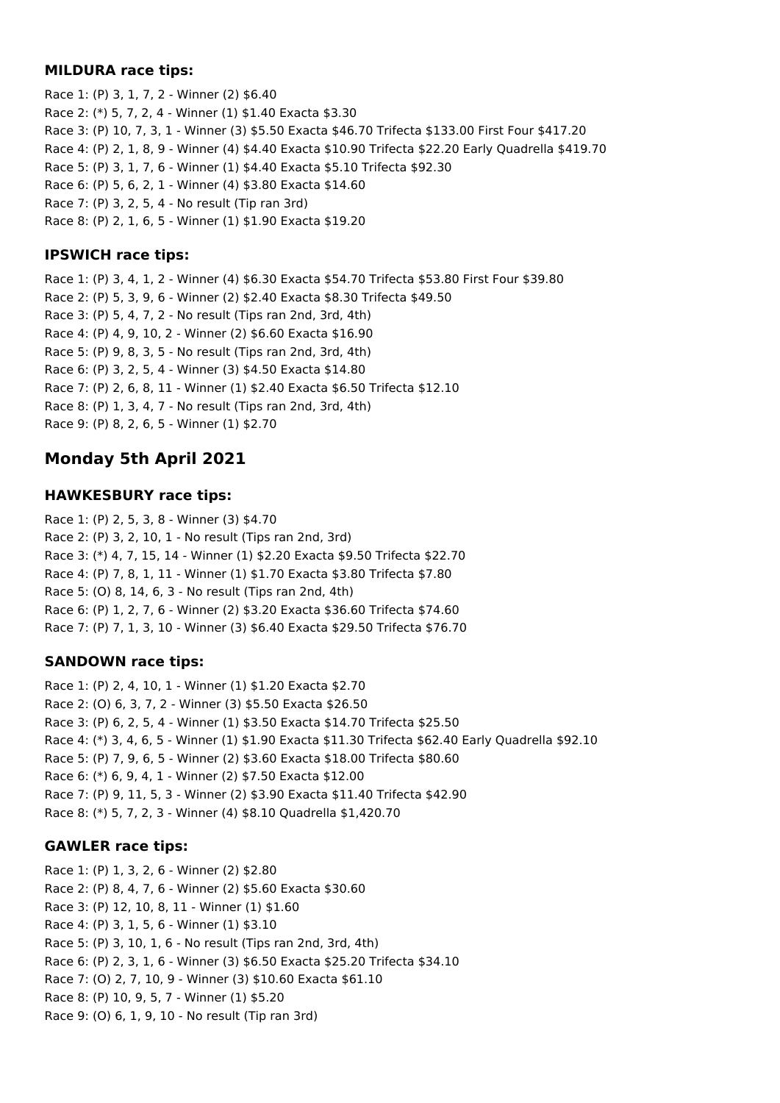### **MILDURA race tips:**

Race 1: (P) 3, 1, 7, 2 - Winner (2) \$6.40 Race 2: (\*) 5, 7, 2, 4 - Winner (1) \$1.40 Exacta \$3.30 Race 3: (P) 10, 7, 3, 1 - Winner (3) \$5.50 Exacta \$46.70 Trifecta \$133.00 First Four \$417.20 Race 4: (P) 2, 1, 8, 9 - Winner (4) \$4.40 Exacta \$10.90 Trifecta \$22.20 Early Quadrella \$419.70 Race 5: (P) 3, 1, 7, 6 - Winner (1) \$4.40 Exacta \$5.10 Trifecta \$92.30 Race 6: (P) 5, 6, 2, 1 - Winner (4) \$3.80 Exacta \$14.60 Race 7: (P) 3, 2, 5, 4 - No result (Tip ran 3rd) Race 8: (P) 2, 1, 6, 5 - Winner (1) \$1.90 Exacta \$19.20

### **IPSWICH race tips:**

Race 1: (P) 3, 4, 1, 2 - Winner (4) \$6.30 Exacta \$54.70 Trifecta \$53.80 First Four \$39.80 Race 2: (P) 5, 3, 9, 6 - Winner (2) \$2.40 Exacta \$8.30 Trifecta \$49.50 Race 3: (P) 5, 4, 7, 2 - No result (Tips ran 2nd, 3rd, 4th) Race 4: (P) 4, 9, 10, 2 - Winner (2) \$6.60 Exacta \$16.90 Race 5: (P) 9, 8, 3, 5 - No result (Tips ran 2nd, 3rd, 4th) Race 6: (P) 3, 2, 5, 4 - Winner (3) \$4.50 Exacta \$14.80 Race 7: (P) 2, 6, 8, 11 - Winner (1) \$2.40 Exacta \$6.50 Trifecta \$12.10 Race 8: (P) 1, 3, 4, 7 - No result (Tips ran 2nd, 3rd, 4th) Race 9: (P) 8, 2, 6, 5 - Winner (1) \$2.70

# **Monday 5th April 2021**

## **HAWKESBURY race tips:**

Race 1: (P) 2, 5, 3, 8 - Winner (3) \$4.70 Race 2: (P) 3, 2, 10, 1 - No result (Tips ran 2nd, 3rd) Race 3: (\*) 4, 7, 15, 14 - Winner (1) \$2.20 Exacta \$9.50 Trifecta \$22.70 Race 4: (P) 7, 8, 1, 11 - Winner (1) \$1.70 Exacta \$3.80 Trifecta \$7.80 Race 5: (O) 8, 14, 6, 3 - No result (Tips ran 2nd, 4th) Race 6: (P) 1, 2, 7, 6 - Winner (2) \$3.20 Exacta \$36.60 Trifecta \$74.60 Race 7: (P) 7, 1, 3, 10 - Winner (3) \$6.40 Exacta \$29.50 Trifecta \$76.70

### **SANDOWN race tips:**

Race 1: (P) 2, 4, 10, 1 - Winner (1) \$1.20 Exacta \$2.70 Race 2: (O) 6, 3, 7, 2 - Winner (3) \$5.50 Exacta \$26.50 Race 3: (P) 6, 2, 5, 4 - Winner (1) \$3.50 Exacta \$14.70 Trifecta \$25.50 Race 4: (\*) 3, 4, 6, 5 - Winner (1) \$1.90 Exacta \$11.30 Trifecta \$62.40 Early Quadrella \$92.10 Race 5: (P) 7, 9, 6, 5 - Winner (2) \$3.60 Exacta \$18.00 Trifecta \$80.60 Race 6: (\*) 6, 9, 4, 1 - Winner (2) \$7.50 Exacta \$12.00 Race 7: (P) 9, 11, 5, 3 - Winner (2) \$3.90 Exacta \$11.40 Trifecta \$42.90 Race 8: (\*) 5, 7, 2, 3 - Winner (4) \$8.10 Quadrella \$1,420.70

### **GAWLER race tips:**

Race 1: (P) 1, 3, 2, 6 - Winner (2) \$2.80 Race 2: (P) 8, 4, 7, 6 - Winner (2) \$5.60 Exacta \$30.60 Race 3: (P) 12, 10, 8, 11 - Winner (1) \$1.60 Race 4: (P) 3, 1, 5, 6 - Winner (1) \$3.10 Race 5: (P) 3, 10, 1, 6 - No result (Tips ran 2nd, 3rd, 4th) Race 6: (P) 2, 3, 1, 6 - Winner (3) \$6.50 Exacta \$25.20 Trifecta \$34.10 Race 7: (O) 2, 7, 10, 9 - Winner (3) \$10.60 Exacta \$61.10 Race 8: (P) 10, 9, 5, 7 - Winner (1) \$5.20 Race 9: (O) 6, 1, 9, 10 - No result (Tip ran 3rd)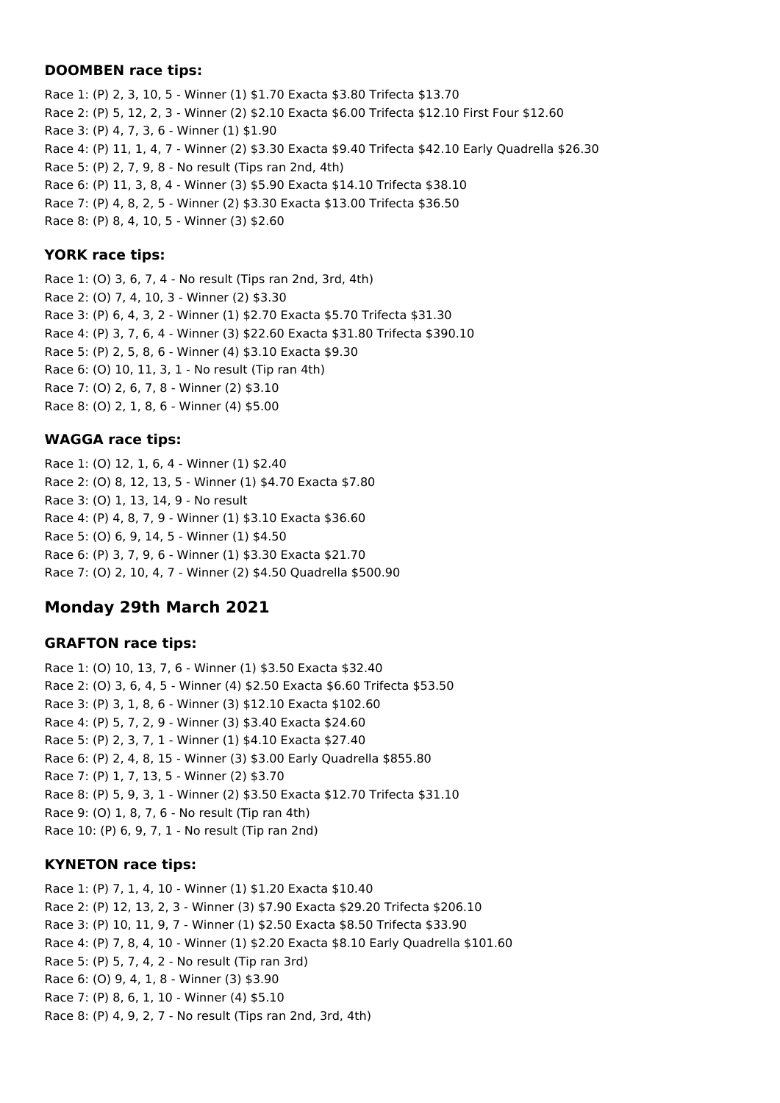### **DOOMBEN race tips:**

Race 1: (P) 2, 3, 10, 5 - Winner (1) \$1.70 Exacta \$3.80 Trifecta \$13.70 Race 2: (P) 5, 12, 2, 3 - Winner (2) \$2.10 Exacta \$6.00 Trifecta \$12.10 First Four \$12.60 Race 3: (P) 4, 7, 3, 6 - Winner (1) \$1.90 Race 4: (P) 11, 1, 4, 7 - Winner (2) \$3.30 Exacta \$9.40 Trifecta \$42.10 Early Quadrella \$26.30 Race 5: (P) 2, 7, 9, 8 - No result (Tips ran 2nd, 4th) Race 6: (P) 11, 3, 8, 4 - Winner (3) \$5.90 Exacta \$14.10 Trifecta \$38.10 Race 7: (P) 4, 8, 2, 5 - Winner (2) \$3.30 Exacta \$13.00 Trifecta \$36.50 Race 8: (P) 8, 4, 10, 5 - Winner (3) \$2.60

### **YORK race tips:**

Race 1: (O) 3, 6, 7, 4 - No result (Tips ran 2nd, 3rd, 4th) Race 2: (O) 7, 4, 10, 3 - Winner (2) \$3.30 Race 3: (P) 6, 4, 3, 2 - Winner (1) \$2.70 Exacta \$5.70 Trifecta \$31.30 Race 4: (P) 3, 7, 6, 4 - Winner (3) \$22.60 Exacta \$31.80 Trifecta \$390.10 Race 5: (P) 2, 5, 8, 6 - Winner (4) \$3.10 Exacta \$9.30 Race 6: (O) 10, 11, 3, 1 - No result (Tip ran 4th) Race 7: (O) 2, 6, 7, 8 - Winner (2) \$3.10 Race 8: (O) 2, 1, 8, 6 - Winner (4) \$5.00

## **WAGGA race tips:**

Race 1: (O) 12, 1, 6, 4 - Winner (1) \$2.40 Race 2: (O) 8, 12, 13, 5 - Winner (1) \$4.70 Exacta \$7.80 Race 3: (O) 1, 13, 14, 9 - No result Race 4: (P) 4, 8, 7, 9 - Winner (1) \$3.10 Exacta \$36.60 Race 5: (O) 6, 9, 14, 5 - Winner (1) \$4.50 Race 6: (P) 3, 7, 9, 6 - Winner (1) \$3.30 Exacta \$21.70 Race 7: (O) 2, 10, 4, 7 - Winner (2) \$4.50 Quadrella \$500.90

# **Monday 29th March 2021**

### **GRAFTON race tips:**

Race 1: (O) 10, 13, 7, 6 - Winner (1) \$3.50 Exacta \$32.40 Race 2: (O) 3, 6, 4, 5 - Winner (4) \$2.50 Exacta \$6.60 Trifecta \$53.50 Race 3: (P) 3, 1, 8, 6 - Winner (3) \$12.10 Exacta \$102.60 Race 4: (P) 5, 7, 2, 9 - Winner (3) \$3.40 Exacta \$24.60 Race 5: (P) 2, 3, 7, 1 - Winner (1) \$4.10 Exacta \$27.40 Race 6: (P) 2, 4, 8, 15 - Winner (3) \$3.00 Early Quadrella \$855.80 Race 7: (P) 1, 7, 13, 5 - Winner (2) \$3.70 Race 8: (P) 5, 9, 3, 1 - Winner (2) \$3.50 Exacta \$12.70 Trifecta \$31.10 Race 9: (O) 1, 8, 7, 6 - No result (Tip ran 4th) Race 10: (P) 6, 9, 7, 1 - No result (Tip ran 2nd)

### **KYNETON race tips:**

Race 1: (P) 7, 1, 4, 10 - Winner (1) \$1.20 Exacta \$10.40 Race 2: (P) 12, 13, 2, 3 - Winner (3) \$7.90 Exacta \$29.20 Trifecta \$206.10 Race 3: (P) 10, 11, 9, 7 - Winner (1) \$2.50 Exacta \$8.50 Trifecta \$33.90 Race 4: (P) 7, 8, 4, 10 - Winner (1) \$2.20 Exacta \$8.10 Early Quadrella \$101.60 Race 5: (P) 5, 7, 4, 2 - No result (Tip ran 3rd) Race 6: (O) 9, 4, 1, 8 - Winner (3) \$3.90 Race 7: (P) 8, 6, 1, 10 - Winner (4) \$5.10 Race 8: (P) 4, 9, 2, 7 - No result (Tips ran 2nd, 3rd, 4th)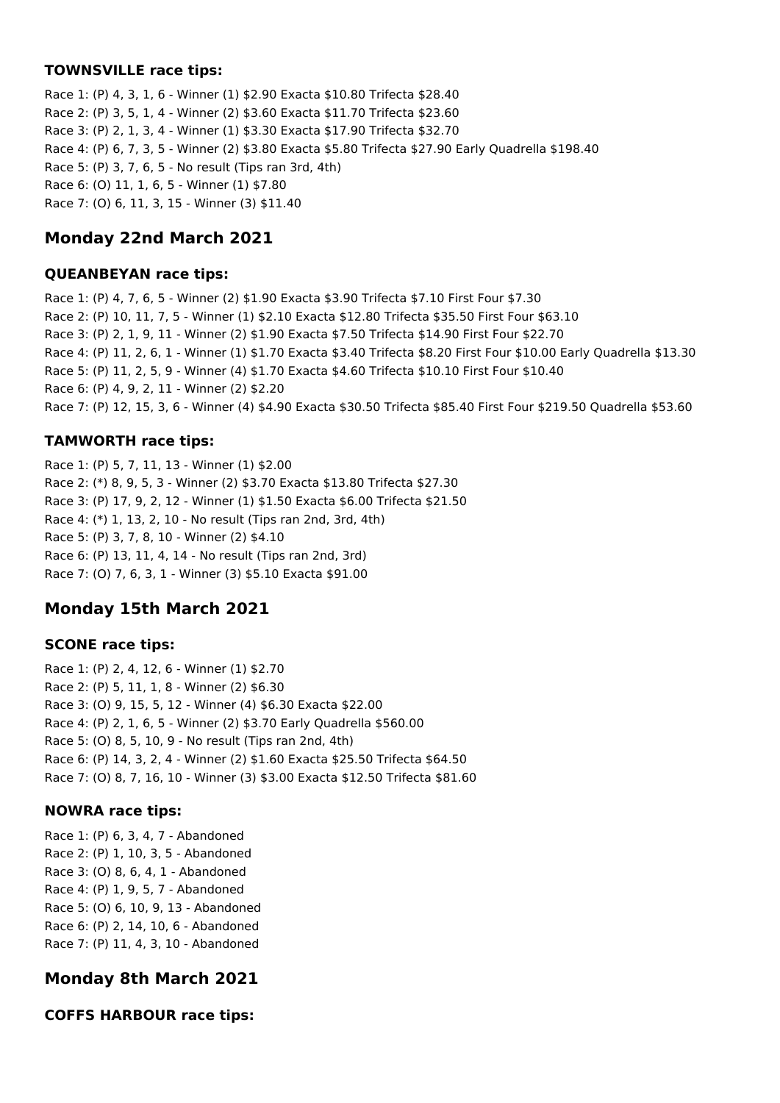### **TOWNSVILLE race tips:**

Race 1: (P) 4, 3, 1, 6 - Winner (1) \$2.90 Exacta \$10.80 Trifecta \$28.40 Race 2: (P) 3, 5, 1, 4 - Winner (2) \$3.60 Exacta \$11.70 Trifecta \$23.60 Race 3: (P) 2, 1, 3, 4 - Winner (1) \$3.30 Exacta \$17.90 Trifecta \$32.70 Race 4: (P) 6, 7, 3, 5 - Winner (2) \$3.80 Exacta \$5.80 Trifecta \$27.90 Early Quadrella \$198.40 Race 5: (P) 3, 7, 6, 5 - No result (Tips ran 3rd, 4th) Race 6: (O) 11, 1, 6, 5 - Winner (1) \$7.80 Race 7: (O) 6, 11, 3, 15 - Winner (3) \$11.40

# **Monday 22nd March 2021**

### **QUEANBEYAN race tips:**

Race 1: (P) 4, 7, 6, 5 - Winner (2) \$1.90 Exacta \$3.90 Trifecta \$7.10 First Four \$7.30 Race 2: (P) 10, 11, 7, 5 - Winner (1) \$2.10 Exacta \$12.80 Trifecta \$35.50 First Four \$63.10 Race 3: (P) 2, 1, 9, 11 - Winner (2) \$1.90 Exacta \$7.50 Trifecta \$14.90 First Four \$22.70 Race 4: (P) 11, 2, 6, 1 - Winner (1) \$1.70 Exacta \$3.40 Trifecta \$8.20 First Four \$10.00 Early Quadrella \$13.30 Race 5: (P) 11, 2, 5, 9 - Winner (4) \$1.70 Exacta \$4.60 Trifecta \$10.10 First Four \$10.40 Race 6: (P) 4, 9, 2, 11 - Winner (2) \$2.20 Race 7: (P) 12, 15, 3, 6 - Winner (4) \$4.90 Exacta \$30.50 Trifecta \$85.40 First Four \$219.50 Quadrella \$53.60

## **TAMWORTH race tips:**

Race 1: (P) 5, 7, 11, 13 - Winner (1) \$2.00 Race 2: (\*) 8, 9, 5, 3 - Winner (2) \$3.70 Exacta \$13.80 Trifecta \$27.30 Race 3: (P) 17, 9, 2, 12 - Winner (1) \$1.50 Exacta \$6.00 Trifecta \$21.50 Race 4: (\*) 1, 13, 2, 10 - No result (Tips ran 2nd, 3rd, 4th) Race 5: (P) 3, 7, 8, 10 - Winner (2) \$4.10 Race 6: (P) 13, 11, 4, 14 - No result (Tips ran 2nd, 3rd) Race 7: (O) 7, 6, 3, 1 - Winner (3) \$5.10 Exacta \$91.00

# **Monday 15th March 2021**

## **SCONE race tips:**

Race 1: (P) 2, 4, 12, 6 - Winner (1) \$2.70 Race 2: (P) 5, 11, 1, 8 - Winner (2) \$6.30 Race 3: (O) 9, 15, 5, 12 - Winner (4) \$6.30 Exacta \$22.00 Race 4: (P) 2, 1, 6, 5 - Winner (2) \$3.70 Early Quadrella \$560.00 Race 5: (O) 8, 5, 10, 9 - No result (Tips ran 2nd, 4th) Race 6: (P) 14, 3, 2, 4 - Winner (2) \$1.60 Exacta \$25.50 Trifecta \$64.50 Race 7: (O) 8, 7, 16, 10 - Winner (3) \$3.00 Exacta \$12.50 Trifecta \$81.60

## **NOWRA race tips:**

Race 1: (P) 6, 3, 4, 7 - Abandoned Race 2: (P) 1, 10, 3, 5 - Abandoned Race 3: (O) 8, 6, 4, 1 - Abandoned Race 4: (P) 1, 9, 5, 7 - Abandoned Race 5: (O) 6, 10, 9, 13 - Abandoned Race 6: (P) 2, 14, 10, 6 - Abandoned Race 7: (P) 11, 4, 3, 10 - Abandoned

# **Monday 8th March 2021**

## **COFFS HARBOUR race tips:**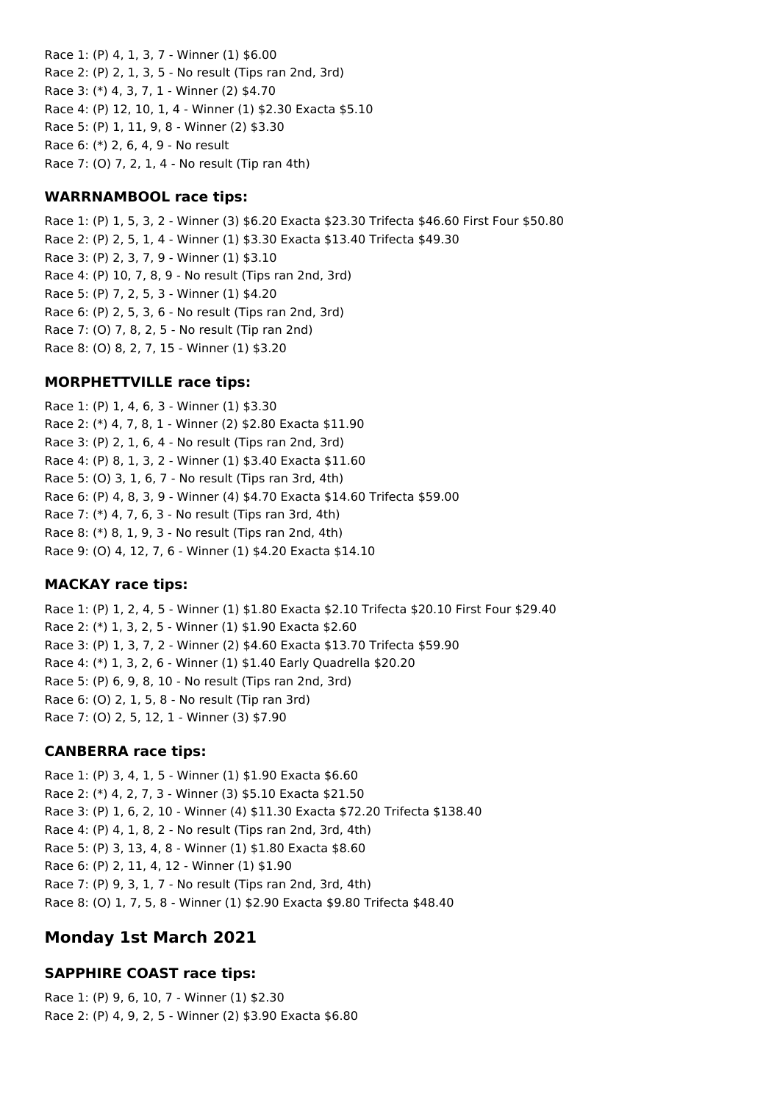Race 1: (P) 4, 1, 3, 7 - Winner (1) \$6.00 Race 2: (P) 2, 1, 3, 5 - No result (Tips ran 2nd, 3rd) Race 3: (\*) 4, 3, 7, 1 - Winner (2) \$4.70 Race 4: (P) 12, 10, 1, 4 - Winner (1) \$2.30 Exacta \$5.10 Race 5: (P) 1, 11, 9, 8 - Winner (2) \$3.30 Race 6: (\*) 2, 6, 4, 9 - No result Race 7: (O) 7, 2, 1, 4 - No result (Tip ran 4th)

### **WARRNAMBOOL race tips:**

Race 1: (P) 1, 5, 3, 2 - Winner (3) \$6.20 Exacta \$23.30 Trifecta \$46.60 First Four \$50.80 Race 2: (P) 2, 5, 1, 4 - Winner (1) \$3.30 Exacta \$13.40 Trifecta \$49.30 Race 3: (P) 2, 3, 7, 9 - Winner (1) \$3.10 Race 4: (P) 10, 7, 8, 9 - No result (Tips ran 2nd, 3rd) Race 5: (P) 7, 2, 5, 3 - Winner (1) \$4.20 Race 6: (P) 2, 5, 3, 6 - No result (Tips ran 2nd, 3rd) Race 7: (O) 7, 8, 2, 5 - No result (Tip ran 2nd) Race 8: (O) 8, 2, 7, 15 - Winner (1) \$3.20

### **MORPHETTVILLE race tips:**

Race 1: (P) 1, 4, 6, 3 - Winner (1) \$3.30 Race 2: (\*) 4, 7, 8, 1 - Winner (2) \$2.80 Exacta \$11.90 Race 3: (P) 2, 1, 6, 4 - No result (Tips ran 2nd, 3rd) Race 4: (P) 8, 1, 3, 2 - Winner (1) \$3.40 Exacta \$11.60 Race 5: (O) 3, 1, 6, 7 - No result (Tips ran 3rd, 4th) Race 6: (P) 4, 8, 3, 9 - Winner (4) \$4.70 Exacta \$14.60 Trifecta \$59.00 Race 7: (\*) 4, 7, 6, 3 - No result (Tips ran 3rd, 4th) Race 8: (\*) 8, 1, 9, 3 - No result (Tips ran 2nd, 4th) Race 9: (O) 4, 12, 7, 6 - Winner (1) \$4.20 Exacta \$14.10

### **MACKAY race tips:**

Race 1: (P) 1, 2, 4, 5 - Winner (1) \$1.80 Exacta \$2.10 Trifecta \$20.10 First Four \$29.40 Race 2: (\*) 1, 3, 2, 5 - Winner (1) \$1.90 Exacta \$2.60 Race 3: (P) 1, 3, 7, 2 - Winner (2) \$4.60 Exacta \$13.70 Trifecta \$59.90 Race 4: (\*) 1, 3, 2, 6 - Winner (1) \$1.40 Early Quadrella \$20.20 Race 5: (P) 6, 9, 8, 10 - No result (Tips ran 2nd, 3rd) Race 6: (O) 2, 1, 5, 8 - No result (Tip ran 3rd) Race 7: (O) 2, 5, 12, 1 - Winner (3) \$7.90

#### **CANBERRA race tips:**

Race 1: (P) 3, 4, 1, 5 - Winner (1) \$1.90 Exacta \$6.60 Race 2: (\*) 4, 2, 7, 3 - Winner (3) \$5.10 Exacta \$21.50 Race 3: (P) 1, 6, 2, 10 - Winner (4) \$11.30 Exacta \$72.20 Trifecta \$138.40 Race 4: (P) 4, 1, 8, 2 - No result (Tips ran 2nd, 3rd, 4th) Race 5: (P) 3, 13, 4, 8 - Winner (1) \$1.80 Exacta \$8.60 Race 6: (P) 2, 11, 4, 12 - Winner (1) \$1.90 Race 7: (P) 9, 3, 1, 7 - No result (Tips ran 2nd, 3rd, 4th) Race 8: (O) 1, 7, 5, 8 - Winner (1) \$2.90 Exacta \$9.80 Trifecta \$48.40

## **Monday 1st March 2021**

### **SAPPHIRE COAST race tips:**

Race 1: (P) 9, 6, 10, 7 - Winner (1) \$2.30 Race 2: (P) 4, 9, 2, 5 - Winner (2) \$3.90 Exacta \$6.80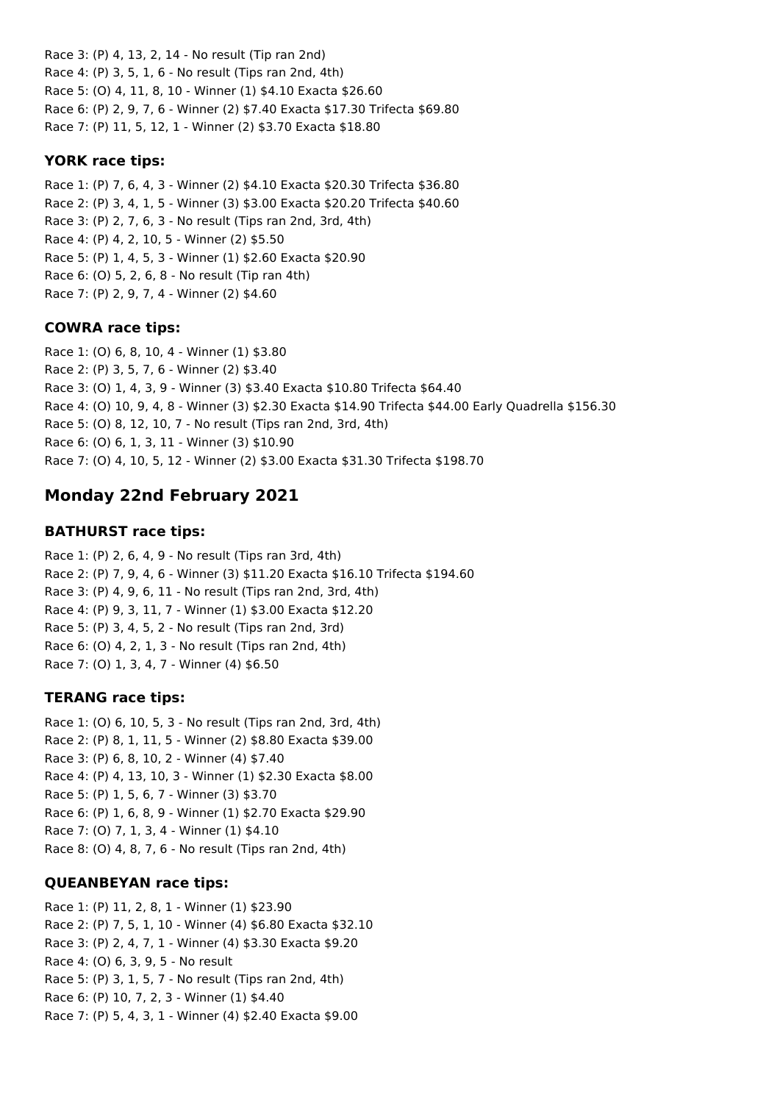Race 3: (P) 4, 13, 2, 14 - No result (Tip ran 2nd) Race 4: (P) 3, 5, 1, 6 - No result (Tips ran 2nd, 4th) Race 5: (O) 4, 11, 8, 10 - Winner (1) \$4.10 Exacta \$26.60 Race 6: (P) 2, 9, 7, 6 - Winner (2) \$7.40 Exacta \$17.30 Trifecta \$69.80 Race 7: (P) 11, 5, 12, 1 - Winner (2) \$3.70 Exacta \$18.80

### **YORK race tips:**

Race 1: (P) 7, 6, 4, 3 - Winner (2) \$4.10 Exacta \$20.30 Trifecta \$36.80 Race 2: (P) 3, 4, 1, 5 - Winner (3) \$3.00 Exacta \$20.20 Trifecta \$40.60 Race 3: (P) 2, 7, 6, 3 - No result (Tips ran 2nd, 3rd, 4th) Race 4: (P) 4, 2, 10, 5 - Winner (2) \$5.50 Race 5: (P) 1, 4, 5, 3 - Winner (1) \$2.60 Exacta \$20.90 Race 6: (O) 5, 2, 6, 8 - No result (Tip ran 4th) Race 7: (P) 2, 9, 7, 4 - Winner (2) \$4.60

## **COWRA race tips:**

Race 1: (O) 6, 8, 10, 4 - Winner (1) \$3.80 Race 2: (P) 3, 5, 7, 6 - Winner (2) \$3.40 Race 3: (O) 1, 4, 3, 9 - Winner (3) \$3.40 Exacta \$10.80 Trifecta \$64.40 Race 4: (O) 10, 9, 4, 8 - Winner (3) \$2.30 Exacta \$14.90 Trifecta \$44.00 Early Quadrella \$156.30 Race 5: (O) 8, 12, 10, 7 - No result (Tips ran 2nd, 3rd, 4th) Race 6: (O) 6, 1, 3, 11 - Winner (3) \$10.90 Race 7: (O) 4, 10, 5, 12 - Winner (2) \$3.00 Exacta \$31.30 Trifecta \$198.70

# **Monday 22nd February 2021**

## **BATHURST race tips:**

Race 1: (P) 2, 6, 4, 9 - No result (Tips ran 3rd, 4th) Race 2: (P) 7, 9, 4, 6 - Winner (3) \$11.20 Exacta \$16.10 Trifecta \$194.60 Race 3: (P) 4, 9, 6, 11 - No result (Tips ran 2nd, 3rd, 4th) Race 4: (P) 9, 3, 11, 7 - Winner (1) \$3.00 Exacta \$12.20 Race 5: (P) 3, 4, 5, 2 - No result (Tips ran 2nd, 3rd) Race 6: (O) 4, 2, 1, 3 - No result (Tips ran 2nd, 4th) Race 7: (O) 1, 3, 4, 7 - Winner (4) \$6.50

## **TERANG race tips:**

Race 1: (O) 6, 10, 5, 3 - No result (Tips ran 2nd, 3rd, 4th) Race 2: (P) 8, 1, 11, 5 - Winner (2) \$8.80 Exacta \$39.00 Race 3: (P) 6, 8, 10, 2 - Winner (4) \$7.40 Race 4: (P) 4, 13, 10, 3 - Winner (1) \$2.30 Exacta \$8.00 Race 5: (P) 1, 5, 6, 7 - Winner (3) \$3.70 Race 6: (P) 1, 6, 8, 9 - Winner (1) \$2.70 Exacta \$29.90 Race 7: (O) 7, 1, 3, 4 - Winner (1) \$4.10 Race 8: (O) 4, 8, 7, 6 - No result (Tips ran 2nd, 4th)

## **QUEANBEYAN race tips:**

Race 1: (P) 11, 2, 8, 1 - Winner (1) \$23.90 Race 2: (P) 7, 5, 1, 10 - Winner (4) \$6.80 Exacta \$32.10 Race 3: (P) 2, 4, 7, 1 - Winner (4) \$3.30 Exacta \$9.20 Race 4: (O) 6, 3, 9, 5 - No result Race 5: (P) 3, 1, 5, 7 - No result (Tips ran 2nd, 4th) Race 6: (P) 10, 7, 2, 3 - Winner (1) \$4.40 Race 7: (P) 5, 4, 3, 1 - Winner (4) \$2.40 Exacta \$9.00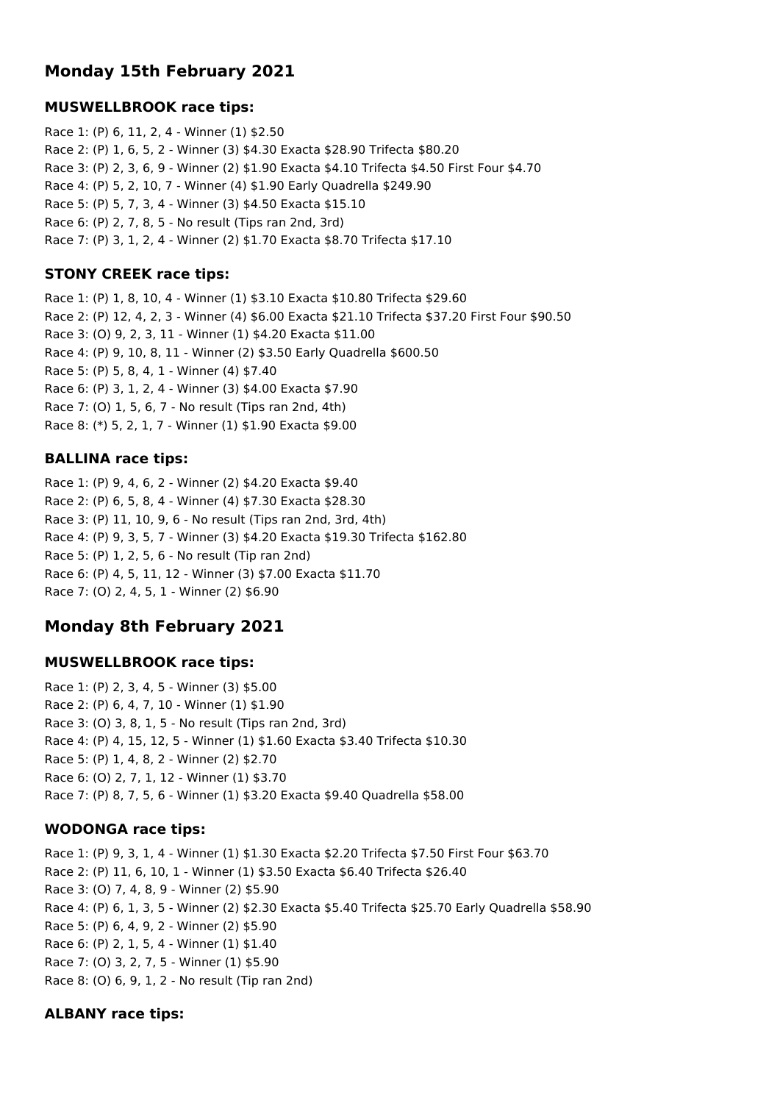# **Monday 15th February 2021**

### **MUSWELLBROOK race tips:**

Race 1: (P) 6, 11, 2, 4 - Winner (1) \$2.50 Race 2: (P) 1, 6, 5, 2 - Winner (3) \$4.30 Exacta \$28.90 Trifecta \$80.20 Race 3: (P) 2, 3, 6, 9 - Winner (2) \$1.90 Exacta \$4.10 Trifecta \$4.50 First Four \$4.70 Race 4: (P) 5, 2, 10, 7 - Winner (4) \$1.90 Early Quadrella \$249.90 Race 5: (P) 5, 7, 3, 4 - Winner (3) \$4.50 Exacta \$15.10 Race 6: (P) 2, 7, 8, 5 - No result (Tips ran 2nd, 3rd) Race 7: (P) 3, 1, 2, 4 - Winner (2) \$1.70 Exacta \$8.70 Trifecta \$17.10

### **STONY CREEK race tips:**

Race 1: (P) 1, 8, 10, 4 - Winner (1) \$3.10 Exacta \$10.80 Trifecta \$29.60 Race 2: (P) 12, 4, 2, 3 - Winner (4) \$6.00 Exacta \$21.10 Trifecta \$37.20 First Four \$90.50 Race 3: (O) 9, 2, 3, 11 - Winner (1) \$4.20 Exacta \$11.00 Race 4: (P) 9, 10, 8, 11 - Winner (2) \$3.50 Early Quadrella \$600.50 Race 5: (P) 5, 8, 4, 1 - Winner (4) \$7.40 Race 6: (P) 3, 1, 2, 4 - Winner (3) \$4.00 Exacta \$7.90 Race 7: (O) 1, 5, 6, 7 - No result (Tips ran 2nd, 4th) Race 8: (\*) 5, 2, 1, 7 - Winner (1) \$1.90 Exacta \$9.00

## **BALLINA race tips:**

Race 1: (P) 9, 4, 6, 2 - Winner (2) \$4.20 Exacta \$9.40 Race 2: (P) 6, 5, 8, 4 - Winner (4) \$7.30 Exacta \$28.30 Race 3: (P) 11, 10, 9, 6 - No result (Tips ran 2nd, 3rd, 4th) Race 4: (P) 9, 3, 5, 7 - Winner (3) \$4.20 Exacta \$19.30 Trifecta \$162.80 Race 5: (P) 1, 2, 5, 6 - No result (Tip ran 2nd) Race 6: (P) 4, 5, 11, 12 - Winner (3) \$7.00 Exacta \$11.70 Race 7: (O) 2, 4, 5, 1 - Winner (2) \$6.90

# **Monday 8th February 2021**

### **MUSWELLBROOK race tips:**

Race 1: (P) 2, 3, 4, 5 - Winner (3) \$5.00 Race 2: (P) 6, 4, 7, 10 - Winner (1) \$1.90 Race 3: (O) 3, 8, 1, 5 - No result (Tips ran 2nd, 3rd) Race 4: (P) 4, 15, 12, 5 - Winner (1) \$1.60 Exacta \$3.40 Trifecta \$10.30 Race 5: (P) 1, 4, 8, 2 - Winner (2) \$2.70 Race 6: (O) 2, 7, 1, 12 - Winner (1) \$3.70 Race 7: (P) 8, 7, 5, 6 - Winner (1) \$3.20 Exacta \$9.40 Quadrella \$58.00

### **WODONGA race tips:**

Race 1: (P) 9, 3, 1, 4 - Winner (1) \$1.30 Exacta \$2.20 Trifecta \$7.50 First Four \$63.70 Race 2: (P) 11, 6, 10, 1 - Winner (1) \$3.50 Exacta \$6.40 Trifecta \$26.40 Race 3: (O) 7, 4, 8, 9 - Winner (2) \$5.90 Race 4: (P) 6, 1, 3, 5 - Winner (2) \$2.30 Exacta \$5.40 Trifecta \$25.70 Early Quadrella \$58.90 Race 5: (P) 6, 4, 9, 2 - Winner (2) \$5.90 Race 6: (P) 2, 1, 5, 4 - Winner (1) \$1.40 Race 7: (O) 3, 2, 7, 5 - Winner (1) \$5.90 Race 8: (O) 6, 9, 1, 2 - No result (Tip ran 2nd)

### **ALBANY race tips:**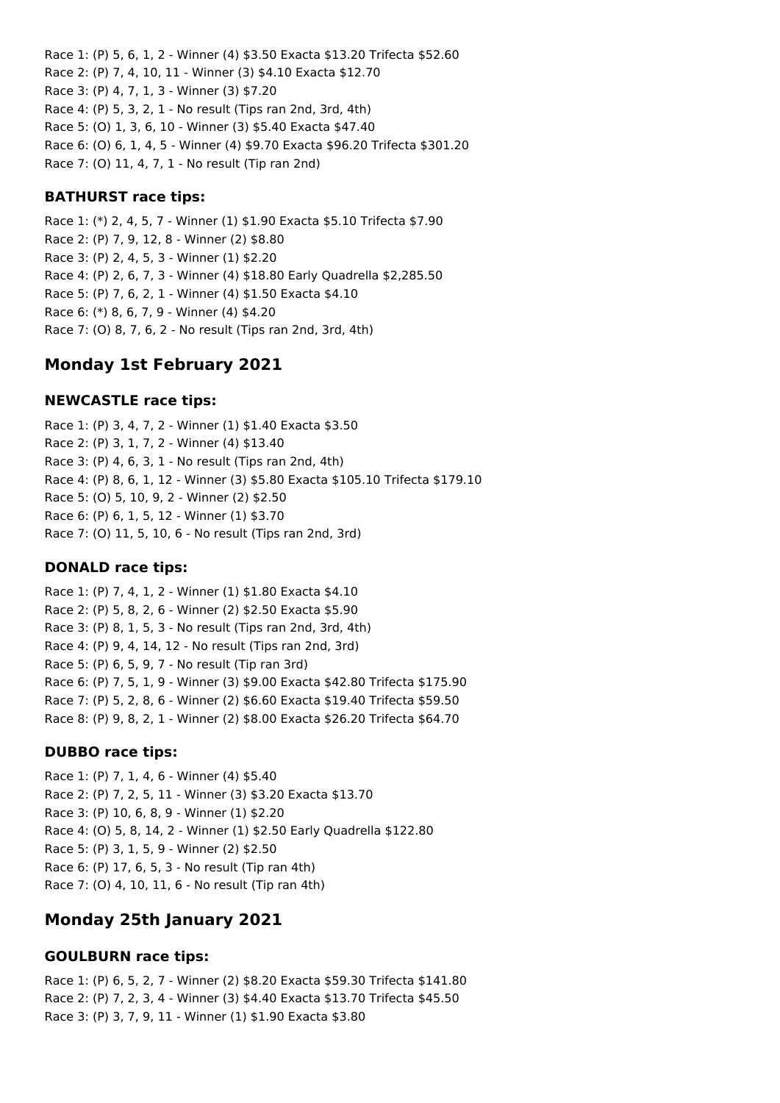Race 1: (P) 5, 6, 1, 2 - Winner (4) \$3.50 Exacta \$13.20 Trifecta \$52.60 Race 2: (P) 7, 4, 10, 11 - Winner (3) \$4.10 Exacta \$12.70 Race 3: (P) 4, 7, 1, 3 - Winner (3) \$7.20 Race 4: (P) 5, 3, 2, 1 - No result (Tips ran 2nd, 3rd, 4th) Race 5: (O) 1, 3, 6, 10 - Winner (3) \$5.40 Exacta \$47.40 Race 6: (O) 6, 1, 4, 5 - Winner (4) \$9.70 Exacta \$96.20 Trifecta \$301.20 Race 7: (O) 11, 4, 7, 1 - No result (Tip ran 2nd)

#### **BATHURST race tips:**

Race 1: (\*) 2, 4, 5, 7 - Winner (1) \$1.90 Exacta \$5.10 Trifecta \$7.90 Race 2: (P) 7, 9, 12, 8 - Winner (2) \$8.80 Race 3: (P) 2, 4, 5, 3 - Winner (1) \$2.20 Race 4: (P) 2, 6, 7, 3 - Winner (4) \$18.80 Early Quadrella \$2,285.50 Race 5: (P) 7, 6, 2, 1 - Winner (4) \$1.50 Exacta \$4.10 Race 6: (\*) 8, 6, 7, 9 - Winner (4) \$4.20 Race 7: (O) 8, 7, 6, 2 - No result (Tips ran 2nd, 3rd, 4th)

## **Monday 1st February 2021**

### **NEWCASTLE race tips:**

Race 1: (P) 3, 4, 7, 2 - Winner (1) \$1.40 Exacta \$3.50 Race 2: (P) 3, 1, 7, 2 - Winner (4) \$13.40 Race 3: (P) 4, 6, 3, 1 - No result (Tips ran 2nd, 4th) Race 4: (P) 8, 6, 1, 12 - Winner (3) \$5.80 Exacta \$105.10 Trifecta \$179.10 Race 5: (O) 5, 10, 9, 2 - Winner (2) \$2.50 Race 6: (P) 6, 1, 5, 12 - Winner (1) \$3.70 Race 7: (O) 11, 5, 10, 6 - No result (Tips ran 2nd, 3rd)

#### **DONALD race tips:**

Race 1: (P) 7, 4, 1, 2 - Winner (1) \$1.80 Exacta \$4.10 Race 2: (P) 5, 8, 2, 6 - Winner (2) \$2.50 Exacta \$5.90 Race 3: (P) 8, 1, 5, 3 - No result (Tips ran 2nd, 3rd, 4th) Race 4: (P) 9, 4, 14, 12 - No result (Tips ran 2nd, 3rd) Race 5: (P) 6, 5, 9, 7 - No result (Tip ran 3rd) Race 6: (P) 7, 5, 1, 9 - Winner (3) \$9.00 Exacta \$42.80 Trifecta \$175.90 Race 7: (P) 5, 2, 8, 6 - Winner (2) \$6.60 Exacta \$19.40 Trifecta \$59.50 Race 8: (P) 9, 8, 2, 1 - Winner (2) \$8.00 Exacta \$26.20 Trifecta \$64.70

#### **DUBBO race tips:**

Race 1: (P) 7, 1, 4, 6 - Winner (4) \$5.40 Race 2: (P) 7, 2, 5, 11 - Winner (3) \$3.20 Exacta \$13.70 Race 3: (P) 10, 6, 8, 9 - Winner (1) \$2.20 Race 4: (O) 5, 8, 14, 2 - Winner (1) \$2.50 Early Quadrella \$122.80 Race 5: (P) 3, 1, 5, 9 - Winner (2) \$2.50 Race 6: (P) 17, 6, 5, 3 - No result (Tip ran 4th) Race 7: (O) 4, 10, 11, 6 - No result (Tip ran 4th)

## **Monday 25th January 2021**

#### **GOULBURN race tips:**

Race 1: (P) 6, 5, 2, 7 - Winner (2) \$8.20 Exacta \$59.30 Trifecta \$141.80 Race 2: (P) 7, 2, 3, 4 - Winner (3) \$4.40 Exacta \$13.70 Trifecta \$45.50 Race 3: (P) 3, 7, 9, 11 - Winner (1) \$1.90 Exacta \$3.80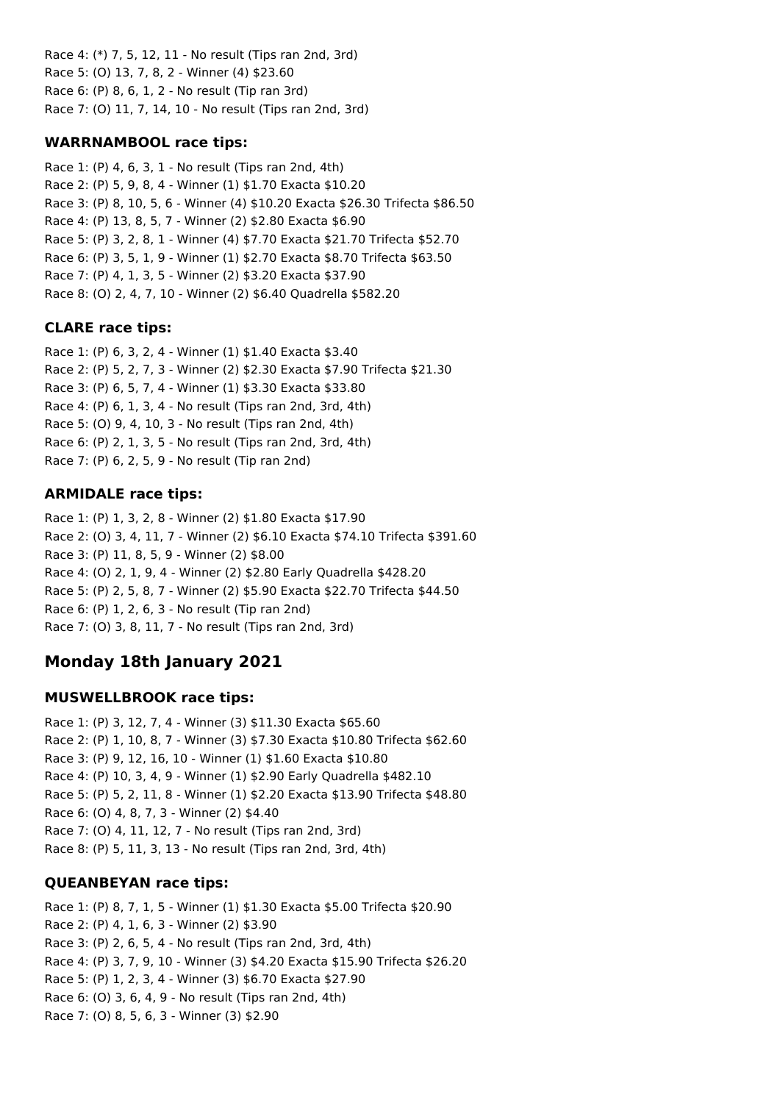Race 4: (\*) 7, 5, 12, 11 - No result (Tips ran 2nd, 3rd) Race 5: (O) 13, 7, 8, 2 - Winner (4) \$23.60 Race 6: (P) 8, 6, 1, 2 - No result (Tip ran 3rd) Race 7: (O) 11, 7, 14, 10 - No result (Tips ran 2nd, 3rd)

## **WARRNAMBOOL race tips:**

Race 1: (P) 4, 6, 3, 1 - No result (Tips ran 2nd, 4th) Race 2: (P) 5, 9, 8, 4 - Winner (1) \$1.70 Exacta \$10.20 Race 3: (P) 8, 10, 5, 6 - Winner (4) \$10.20 Exacta \$26.30 Trifecta \$86.50 Race 4: (P) 13, 8, 5, 7 - Winner (2) \$2.80 Exacta \$6.90 Race 5: (P) 3, 2, 8, 1 - Winner (4) \$7.70 Exacta \$21.70 Trifecta \$52.70 Race 6: (P) 3, 5, 1, 9 - Winner (1) \$2.70 Exacta \$8.70 Trifecta \$63.50 Race 7: (P) 4, 1, 3, 5 - Winner (2) \$3.20 Exacta \$37.90 Race 8: (O) 2, 4, 7, 10 - Winner (2) \$6.40 Quadrella \$582.20

## **CLARE race tips:**

Race 1: (P) 6, 3, 2, 4 - Winner (1) \$1.40 Exacta \$3.40 Race 2: (P) 5, 2, 7, 3 - Winner (2) \$2.30 Exacta \$7.90 Trifecta \$21.30 Race 3: (P) 6, 5, 7, 4 - Winner (1) \$3.30 Exacta \$33.80 Race 4: (P) 6, 1, 3, 4 - No result (Tips ran 2nd, 3rd, 4th) Race 5: (O) 9, 4, 10, 3 - No result (Tips ran 2nd, 4th) Race 6: (P) 2, 1, 3, 5 - No result (Tips ran 2nd, 3rd, 4th) Race 7: (P) 6, 2, 5, 9 - No result (Tip ran 2nd)

## **ARMIDALE race tips:**

Race 1: (P) 1, 3, 2, 8 - Winner (2) \$1.80 Exacta \$17.90 Race 2: (O) 3, 4, 11, 7 - Winner (2) \$6.10 Exacta \$74.10 Trifecta \$391.60 Race 3: (P) 11, 8, 5, 9 - Winner (2) \$8.00 Race 4: (O) 2, 1, 9, 4 - Winner (2) \$2.80 Early Quadrella \$428.20 Race 5: (P) 2, 5, 8, 7 - Winner (2) \$5.90 Exacta \$22.70 Trifecta \$44.50 Race 6: (P) 1, 2, 6, 3 - No result (Tip ran 2nd) Race 7: (O) 3, 8, 11, 7 - No result (Tips ran 2nd, 3rd)

# **Monday 18th January 2021**

### **MUSWELLBROOK race tips:**

Race 1: (P) 3, 12, 7, 4 - Winner (3) \$11.30 Exacta \$65.60 Race 2: (P) 1, 10, 8, 7 - Winner (3) \$7.30 Exacta \$10.80 Trifecta \$62.60 Race 3: (P) 9, 12, 16, 10 - Winner (1) \$1.60 Exacta \$10.80 Race 4: (P) 10, 3, 4, 9 - Winner (1) \$2.90 Early Quadrella \$482.10 Race 5: (P) 5, 2, 11, 8 - Winner (1) \$2.20 Exacta \$13.90 Trifecta \$48.80 Race 6: (O) 4, 8, 7, 3 - Winner (2) \$4.40 Race 7: (O) 4, 11, 12, 7 - No result (Tips ran 2nd, 3rd) Race 8: (P) 5, 11, 3, 13 - No result (Tips ran 2nd, 3rd, 4th)

### **QUEANBEYAN race tips:**

Race 1: (P) 8, 7, 1, 5 - Winner (1) \$1.30 Exacta \$5.00 Trifecta \$20.90 Race 2: (P) 4, 1, 6, 3 - Winner (2) \$3.90 Race 3: (P) 2, 6, 5, 4 - No result (Tips ran 2nd, 3rd, 4th) Race 4: (P) 3, 7, 9, 10 - Winner (3) \$4.20 Exacta \$15.90 Trifecta \$26.20 Race 5: (P) 1, 2, 3, 4 - Winner (3) \$6.70 Exacta \$27.90 Race 6: (O) 3, 6, 4, 9 - No result (Tips ran 2nd, 4th) Race 7: (O) 8, 5, 6, 3 - Winner (3) \$2.90